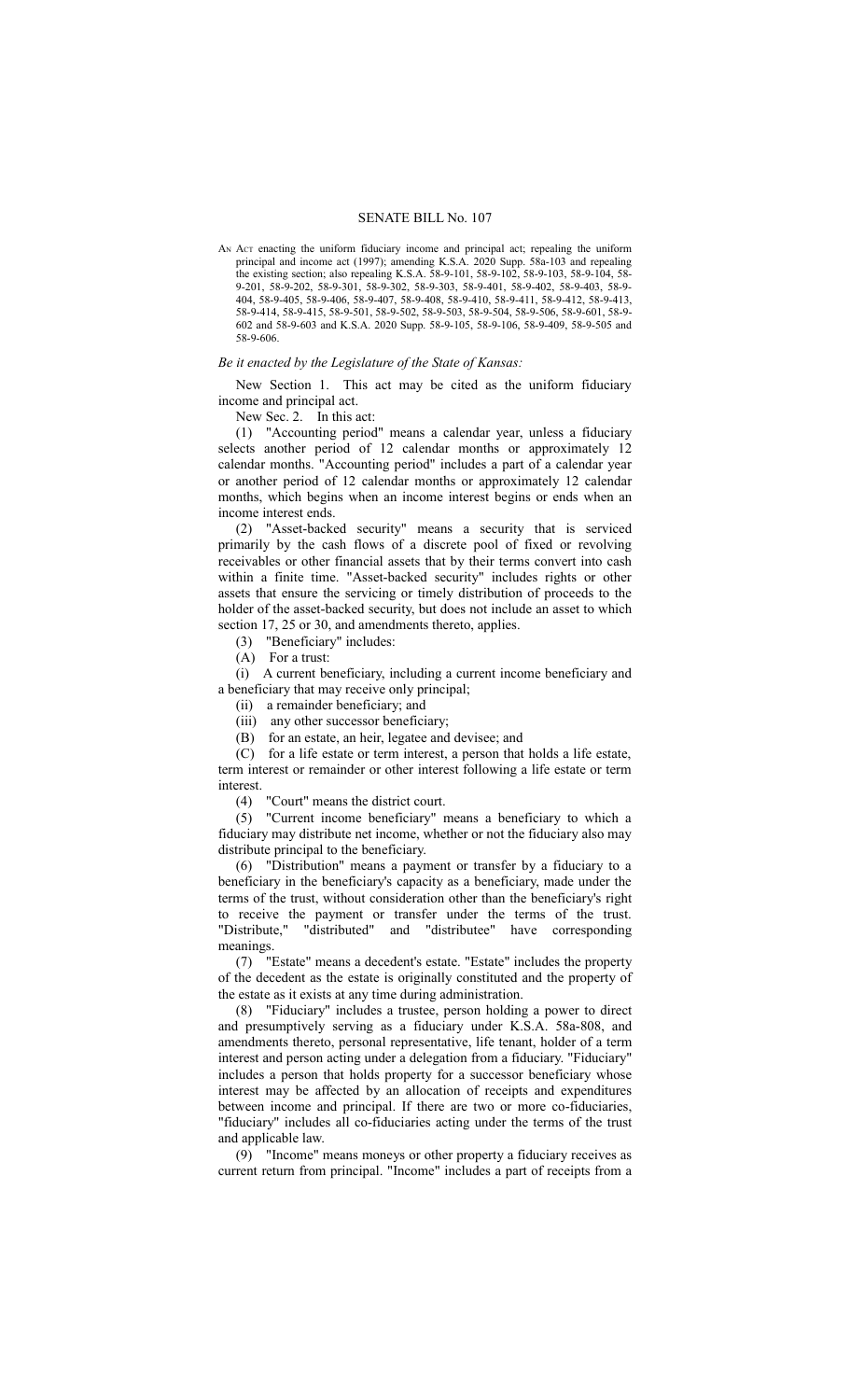## SENATE BILL No. 107

AN ACT enacting the uniform fiduciary income and principal act; repealing the uniform principal and income act (1997); amending K.S.A. 2020 Supp. 58a-103 and repealing the existing section; also repealing K.S.A. 58-9-101, 58-9-102, 58-9-103, 58-9-104, 58- 9-201, 58-9-202, 58-9-301, 58-9-302, 58-9-303, 58-9-401, 58-9-402, 58-9-403, 58-9- 404, 58-9-405, 58-9-406, 58-9-407, 58-9-408, 58-9-410, 58-9-411, 58-9-412, 58-9-413, 58-9-414, 58-9-415, 58-9-501, 58-9-502, 58-9-503, 58-9-504, 58-9-506, 58-9-601, 58-9- 602 and 58-9-603 and K.S.A. 2020 Supp. 58-9-105, 58-9-106, 58-9-409, 58-9-505 and 58-9-606.

## *Be it enacted by the Legislature of the State of Kansas:*

New Section 1. This act may be cited as the uniform fiduciary income and principal act.

New Sec. 2. In this act:

(1) "Accounting period" means a calendar year, unless a fiduciary selects another period of 12 calendar months or approximately 12 calendar months. "Accounting period" includes a part of a calendar year or another period of 12 calendar months or approximately 12 calendar months, which begins when an income interest begins or ends when an income interest ends.

(2) "Asset-backed security" means a security that is serviced primarily by the cash flows of a discrete pool of fixed or revolving receivables or other financial assets that by their terms convert into cash within a finite time. "Asset-backed security" includes rights or other assets that ensure the servicing or timely distribution of proceeds to the holder of the asset-backed security, but does not include an asset to which section 17, 25 or 30, and amendments thereto, applies.

(3) "Beneficiary" includes:

 $(A)$  For a trust:

(i) A current beneficiary, including a current income beneficiary and a beneficiary that may receive only principal;

(ii) a remainder beneficiary; and

(iii) any other successor beneficiary;

(B) for an estate, an heir, legatee and devisee; and

(C) for a life estate or term interest, a person that holds a life estate, term interest or remainder or other interest following a life estate or term interest.

(4) "Court" means the district court.

 $(5)$  "Current income beneficiary" means a beneficiary to which a fiduciary may distribute net income, whether or not the fiduciary also may distribute principal to the beneficiary.

(6) "Distribution" means a payment or transfer by a fiduciary to a beneficiary in the beneficiary's capacity as a beneficiary, made under the terms of the trust, without consideration other than the beneficiary's right to receive the payment or transfer under the terms of the trust.<br>"Distribute." "distributed" and "distributee" have corresponding "distributed" and "distributee" have corresponding meanings.

(7) "Estate" means a decedent's estate. "Estate" includes the property of the decedent as the estate is originally constituted and the property of the estate as it exists at any time during administration.

(8) "Fiduciary" includes a trustee, person holding a power to direct and presumptively serving as a fiduciary under K.S.A. 58a-808, and amendments thereto, personal representative, life tenant, holder of a term interest and person acting under a delegation from a fiduciary. "Fiduciary" includes a person that holds property for a successor beneficiary whose interest may be affected by an allocation of receipts and expenditures between income and principal. If there are two or more co-fiduciaries, "fiduciary" includes all co-fiduciaries acting under the terms of the trust and applicable law.

(9) "Income" means moneys or other property a fiduciary receives as current return from principal. "Income" includes a part of receipts from a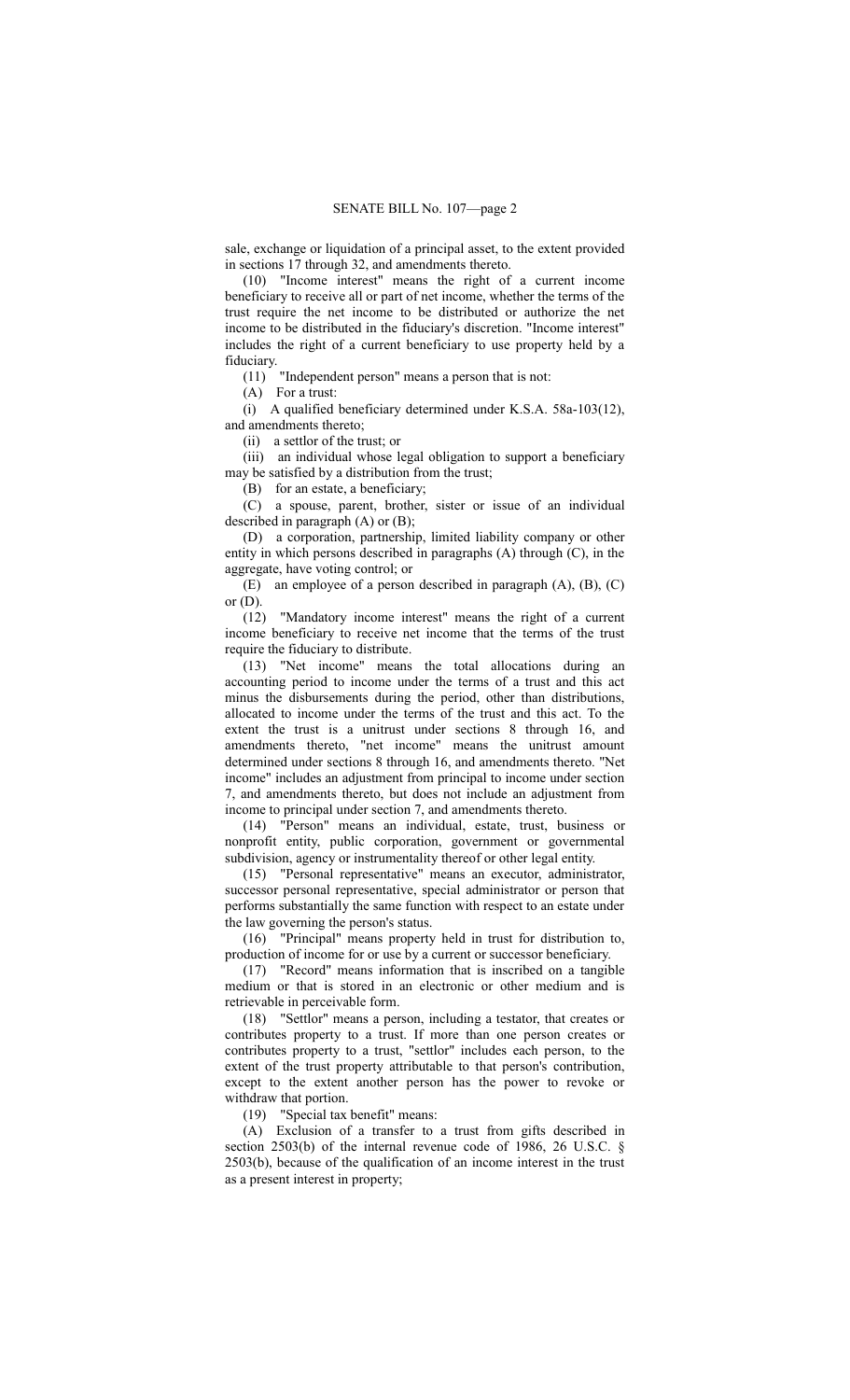sale, exchange or liquidation of a principal asset, to the extent provided in sections 17 through 32, and amendments thereto.

(10) "Income interest" means the right of a current income beneficiary to receive all or part of net income, whether the terms of the trust require the net income to be distributed or authorize the net income to be distributed in the fiduciary's discretion. "Income interest" includes the right of a current beneficiary to use property held by a fiduciary.

(11) "Independent person" means a person that is not:

(A) For a trust:

(i) A qualified beneficiary determined under K.S.A. 58a-103(12), and amendments thereto;

(ii) a settlor of the trust; or

(iii) an individual whose legal obligation to support a beneficiary may be satisfied by a distribution from the trust;

(B) for an estate, a beneficiary;

(C) a spouse, parent, brother, sister or issue of an individual described in paragraph (A) or (B);

(D) a corporation, partnership, limited liability company or other entity in which persons described in paragraphs (A) through (C), in the aggregate, have voting control; or

(E) an employee of a person described in paragraph (A), (B), (C) or  $(D)$ .

(12) "Mandatory income interest" means the right of a current income beneficiary to receive net income that the terms of the trust require the fiduciary to distribute.

(13) "Net income" means the total allocations during an accounting period to income under the terms of a trust and this act minus the disbursements during the period, other than distributions, allocated to income under the terms of the trust and this act. To the extent the trust is a unitrust under sections 8 through 16, and amendments thereto, "net income" means the unitrust amount determined under sections 8 through 16, and amendments thereto. "Net income" includes an adjustment from principal to income under section 7, and amendments thereto, but does not include an adjustment from income to principal under section 7, and amendments thereto.

(14) "Person" means an individual, estate, trust, business or nonprofit entity, public corporation, government or governmental subdivision, agency or instrumentality thereof or other legal entity.

(15) "Personal representative" means an executor, administrator, successor personal representative, special administrator or person that performs substantially the same function with respect to an estate under the law governing the person's status.

(16) "Principal" means property held in trust for distribution to, production of income for or use by a current or successor beneficiary.

(17) "Record" means information that is inscribed on a tangible medium or that is stored in an electronic or other medium and is retrievable in perceivable form.

(18) "Settlor" means a person, including a testator, that creates or contributes property to a trust. If more than one person creates or contributes property to a trust, "settlor" includes each person, to the extent of the trust property attributable to that person's contribution, except to the extent another person has the power to revoke or withdraw that portion.

(19) "Special tax benefit" means:

(A) Exclusion of a transfer to a trust from gifts described in section 2503(b) of the internal revenue code of 1986, 26 U.S.C. § 2503(b), because of the qualification of an income interest in the trust as a present interest in property;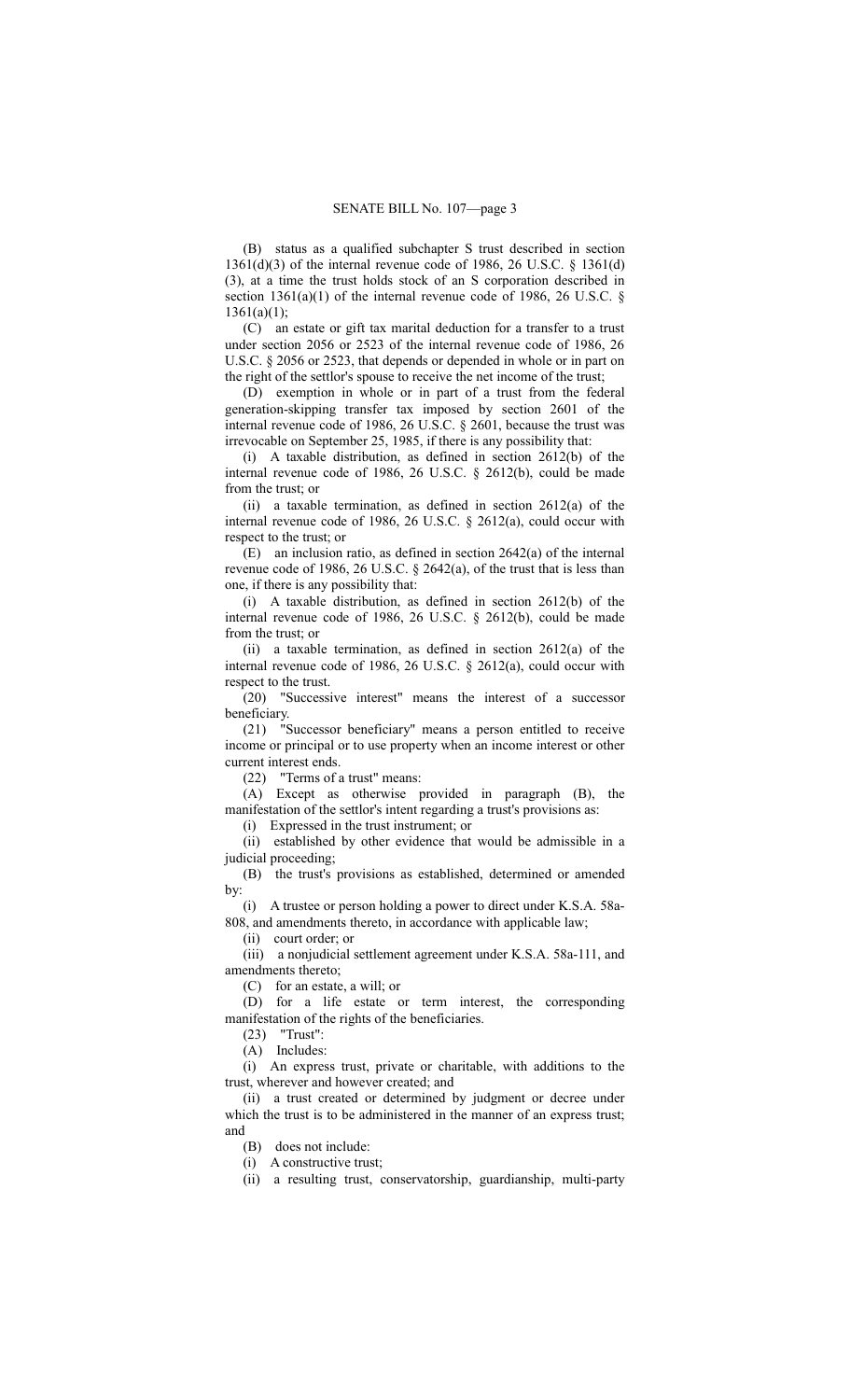(B) status as a qualified subchapter S trust described in section 1361(d)(3) of the internal revenue code of 1986, 26 U.S.C. § 1361(d) (3), at a time the trust holds stock of an S corporation described in section 1361(a)(1) of the internal revenue code of 1986, 26 U.S.C.  $\S$ 1361(a)(1);

(C) an estate or gift tax marital deduction for a transfer to a trust under section 2056 or 2523 of the internal revenue code of 1986, 26 U.S.C. § 2056 or 2523, that depends or depended in whole or in part on the right of the settlor's spouse to receive the net income of the trust;

(D) exemption in whole or in part of a trust from the federal generation-skipping transfer tax imposed by section 2601 of the internal revenue code of 1986, 26 U.S.C. § 2601, because the trust was irrevocable on September 25, 1985, if there is any possibility that:

(i) A taxable distribution, as defined in section 2612(b) of the internal revenue code of 1986, 26 U.S.C. § 2612(b), could be made from the trust; or

(ii) a taxable termination, as defined in section 2612(a) of the internal revenue code of 1986, 26 U.S.C. § 2612(a), could occur with respect to the trust; or

(E) an inclusion ratio, as defined in section 2642(a) of the internal revenue code of 1986, 26 U.S.C. § 2642(a), of the trust that is less than one, if there is any possibility that:

(i) A taxable distribution, as defined in section 2612(b) of the internal revenue code of 1986, 26 U.S.C. § 2612(b), could be made from the trust; or

(ii) a taxable termination, as defined in section 2612(a) of the internal revenue code of 1986, 26 U.S.C. § 2612(a), could occur with respect to the trust.

(20) "Successive interest" means the interest of a successor beneficiary.

(21) "Successor beneficiary" means a person entitled to receive income or principal or to use property when an income interest or other current interest ends.

(22) "Terms of a trust" means:

(A) Except as otherwise provided in paragraph (B), the manifestation of the settlor's intent regarding a trust's provisions as:

(i) Expressed in the trust instrument; or

(ii) established by other evidence that would be admissible in a judicial proceeding;

(B) the trust's provisions as established, determined or amended by:

(i) A trustee or person holding a power to direct under K.S.A. 58a-808, and amendments thereto, in accordance with applicable law;

(ii) court order; or

(iii) a nonjudicial settlement agreement under K.S.A. 58a-111, and amendments thereto;

(C) for an estate, a will; or

(D) for a life estate or term interest, the corresponding manifestation of the rights of the beneficiaries.

(23) "Trust":

(A) Includes:

(i) An express trust, private or charitable, with additions to the trust, wherever and however created; and

(ii) a trust created or determined by judgment or decree under which the trust is to be administered in the manner of an express trust; and

- (B) does not include:
- (i) A constructive trust;

(ii) a resulting trust, conservatorship, guardianship, multi-party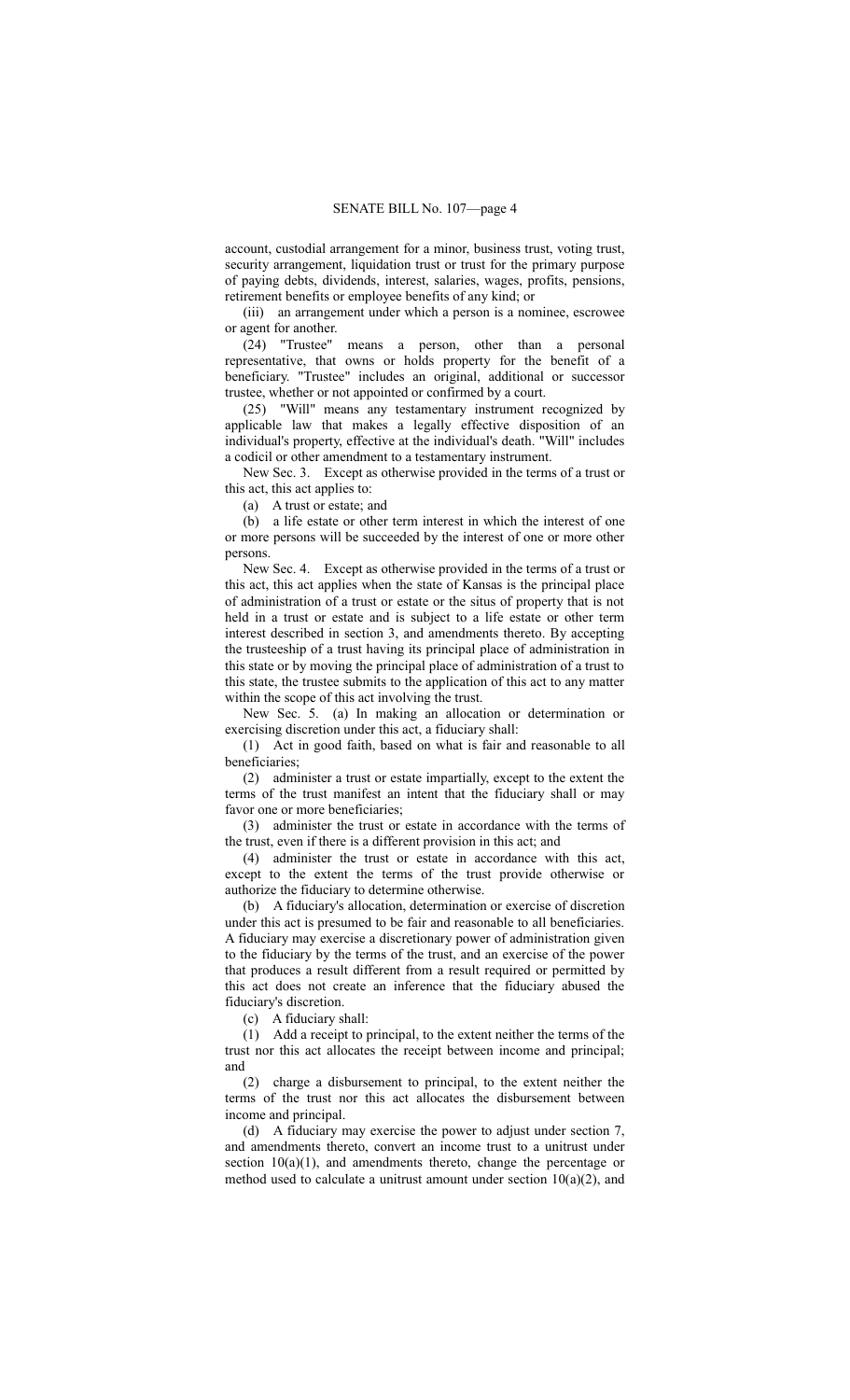account, custodial arrangement for a minor, business trust, voting trust, security arrangement, liquidation trust or trust for the primary purpose of paying debts, dividends, interest, salaries, wages, profits, pensions, retirement benefits or employee benefits of any kind; or

(iii) an arrangement under which a person is a nominee, escrowee or agent for another.

(24) "Trustee" means a person, other than a personal representative, that owns or holds property for the benefit of a beneficiary. "Trustee" includes an original, additional or successor trustee, whether or not appointed or confirmed by a court.

(25) "Will" means any testamentary instrument recognized by applicable law that makes a legally effective disposition of an individual's property, effective at the individual's death. "Will" includes a codicil or other amendment to a testamentary instrument.

New Sec. 3. Except as otherwise provided in the terms of a trust or this act, this act applies to:

(a) A trust or estate; and

(b) a life estate or other term interest in which the interest of one or more persons will be succeeded by the interest of one or more other persons.

New Sec. 4. Except as otherwise provided in the terms of a trust or this act, this act applies when the state of Kansas is the principal place of administration of a trust or estate or the situs of property that is not held in a trust or estate and is subject to a life estate or other term interest described in section 3, and amendments thereto. By accepting the trusteeship of a trust having its principal place of administration in this state or by moving the principal place of administration of a trust to this state, the trustee submits to the application of this act to any matter within the scope of this act involving the trust.

New Sec. 5. (a) In making an allocation or determination or exercising discretion under this act, a fiduciary shall:

(1) Act in good faith, based on what is fair and reasonable to all beneficiaries;

(2) administer a trust or estate impartially, except to the extent the terms of the trust manifest an intent that the fiduciary shall or may favor one or more beneficiaries;

(3) administer the trust or estate in accordance with the terms of the trust, even if there is a different provision in this act; and

(4) administer the trust or estate in accordance with this act, except to the extent the terms of the trust provide otherwise or authorize the fiduciary to determine otherwise.

(b) A fiduciary's allocation, determination or exercise of discretion under this act is presumed to be fair and reasonable to all beneficiaries. A fiduciary may exercise a discretionary power of administration given to the fiduciary by the terms of the trust, and an exercise of the power that produces a result different from a result required or permitted by this act does not create an inference that the fiduciary abused the fiduciary's discretion.

(c) A fiduciary shall:

(1) Add a receipt to principal, to the extent neither the terms of the trust nor this act allocates the receipt between income and principal; and

(2) charge a disbursement to principal, to the extent neither the terms of the trust nor this act allocates the disbursement between income and principal.

(d) A fiduciary may exercise the power to adjust under section 7, and amendments thereto, convert an income trust to a unitrust under section  $10(a)(1)$ , and amendments thereto, change the percentage or method used to calculate a unitrust amount under section  $10(a)(2)$ , and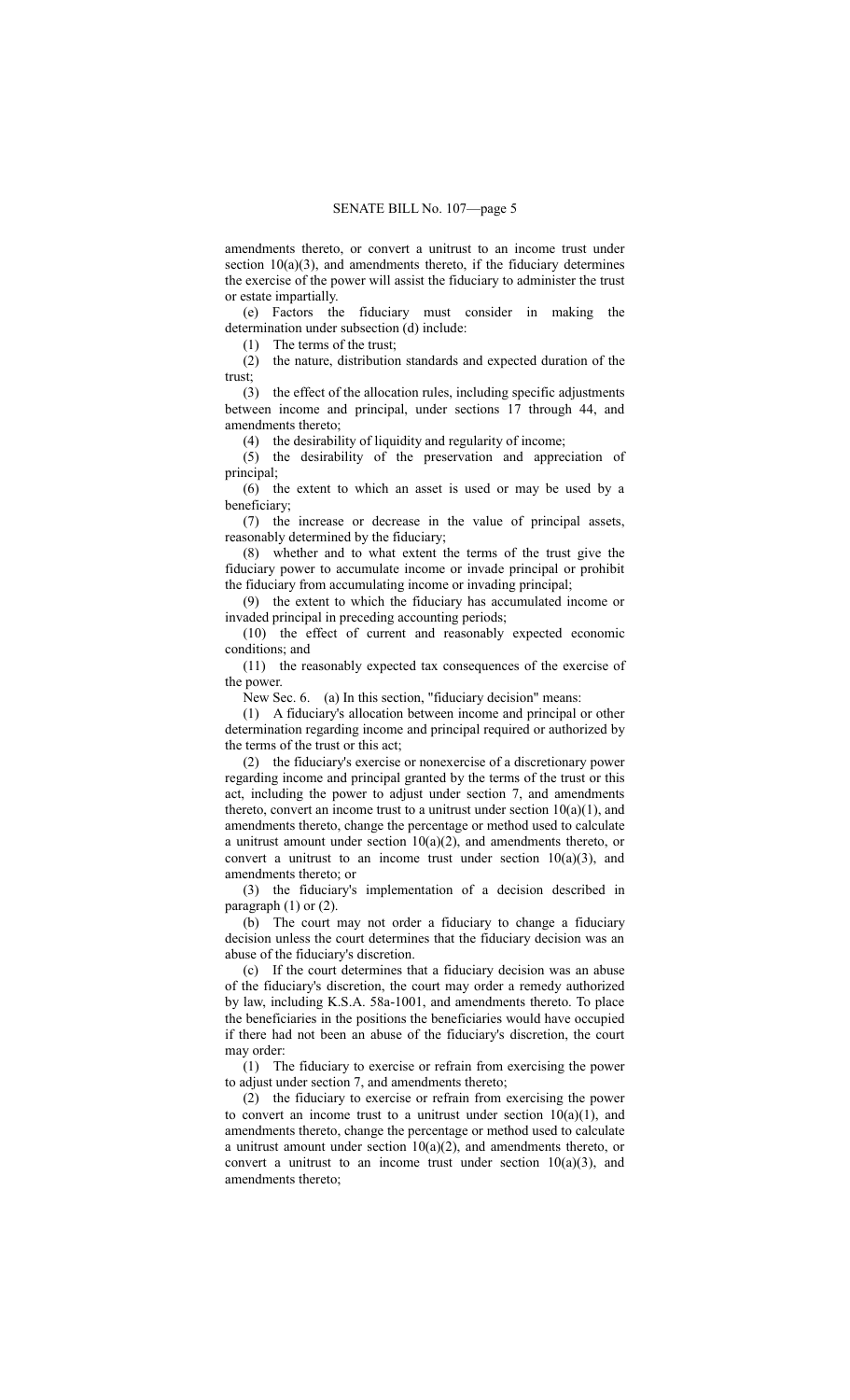amendments thereto, or convert a unitrust to an income trust under section  $10(a)(3)$ , and amendments thereto, if the fiduciary determines the exercise of the power will assist the fiduciary to administer the trust or estate impartially.

(e) Factors the fiduciary must consider in making the determination under subsection (d) include:

(1) The terms of the trust;

(2) the nature, distribution standards and expected duration of the trust;

(3) the effect of the allocation rules, including specific adjustments between income and principal, under sections 17 through 44, and amendments thereto;

(4) the desirability of liquidity and regularity of income;

(5) the desirability of the preservation and appreciation of principal;

(6) the extent to which an asset is used or may be used by a beneficiary;

(7) the increase or decrease in the value of principal assets, reasonably determined by the fiduciary;

(8) whether and to what extent the terms of the trust give the fiduciary power to accumulate income or invade principal or prohibit the fiduciary from accumulating income or invading principal;

(9) the extent to which the fiduciary has accumulated income or invaded principal in preceding accounting periods;

(10) the effect of current and reasonably expected economic conditions; and

(11) the reasonably expected tax consequences of the exercise of the power.

New Sec. 6. (a) In this section, "fiduciary decision" means:

(1) A fiduciary's allocation between income and principal or other determination regarding income and principal required or authorized by the terms of the trust or this act;

(2) the fiduciary's exercise or nonexercise of a discretionary power regarding income and principal granted by the terms of the trust or this act, including the power to adjust under section 7, and amendments thereto, convert an income trust to a unitrust under section  $10(a)(1)$ , and amendments thereto, change the percentage or method used to calculate a unitrust amount under section  $10(a)(2)$ , and amendments thereto, or convert a unitrust to an income trust under section  $10(a)(3)$ , and amendments thereto; or

(3) the fiduciary's implementation of a decision described in paragraph (1) or (2).

(b) The court may not order a fiduciary to change a fiduciary decision unless the court determines that the fiduciary decision was an abuse of the fiduciary's discretion.

(c) If the court determines that a fiduciary decision was an abuse of the fiduciary's discretion, the court may order a remedy authorized by law, including K.S.A. 58a-1001, and amendments thereto. To place the beneficiaries in the positions the beneficiaries would have occupied if there had not been an abuse of the fiduciary's discretion, the court may order:

(1) The fiduciary to exercise or refrain from exercising the power to adjust under section 7, and amendments thereto;

(2) the fiduciary to exercise or refrain from exercising the power to convert an income trust to a unitrust under section  $10(a)(1)$ , and amendments thereto, change the percentage or method used to calculate a unitrust amount under section  $10(a)(2)$ , and amendments thereto, or convert a unitrust to an income trust under section  $10(a)(3)$ , and amendments thereto;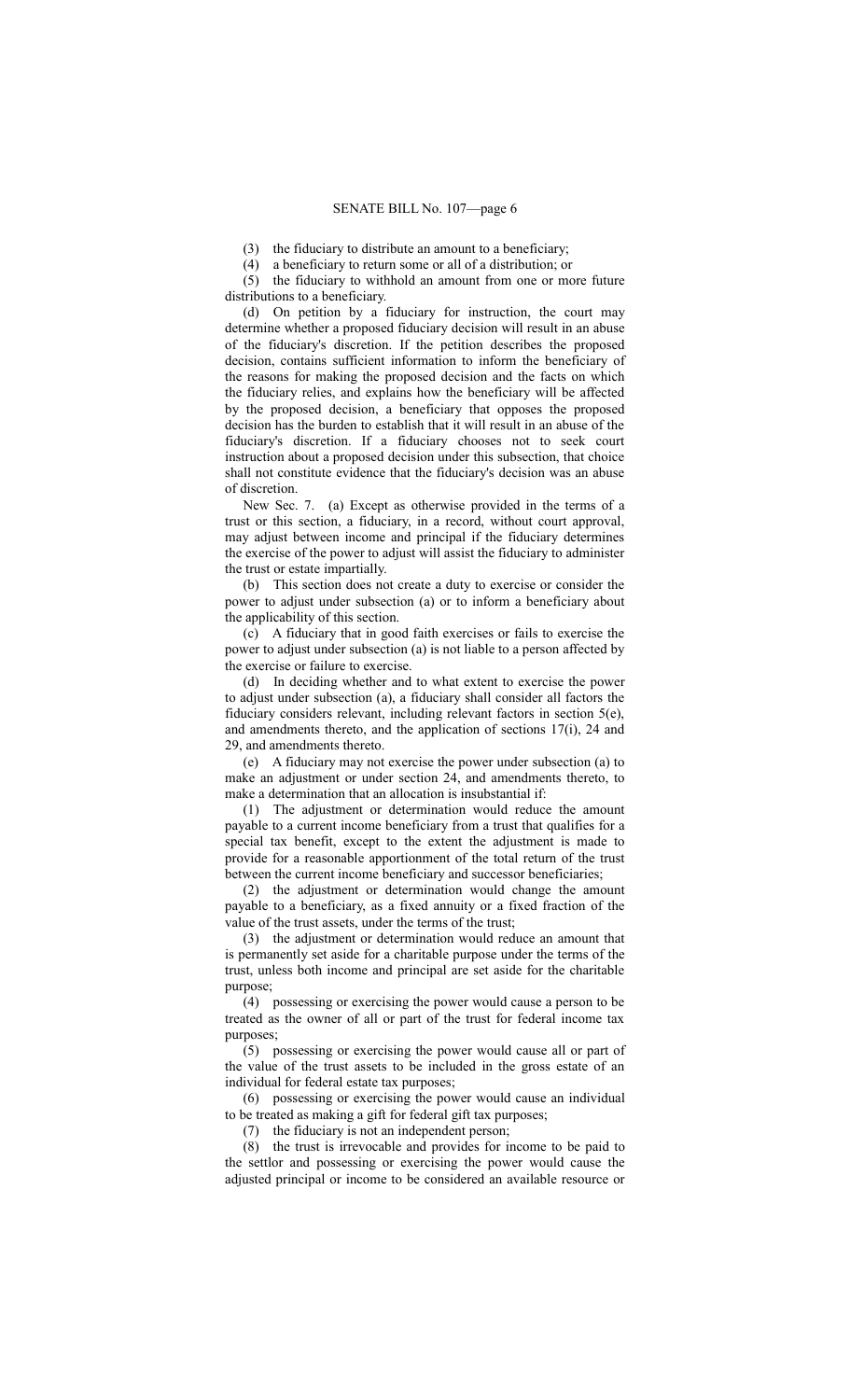(3) the fiduciary to distribute an amount to a beneficiary;

(4) a beneficiary to return some or all of a distribution; or

(5) the fiduciary to withhold an amount from one or more future distributions to a beneficiary.

(d) On petition by a fiduciary for instruction, the court may determine whether a proposed fiduciary decision will result in an abuse of the fiduciary's discretion. If the petition describes the proposed decision, contains sufficient information to inform the beneficiary of the reasons for making the proposed decision and the facts on which the fiduciary relies, and explains how the beneficiary will be affected by the proposed decision, a beneficiary that opposes the proposed decision has the burden to establish that it will result in an abuse of the fiduciary's discretion. If a fiduciary chooses not to seek court instruction about a proposed decision under this subsection, that choice shall not constitute evidence that the fiduciary's decision was an abuse of discretion.

New Sec. 7. (a) Except as otherwise provided in the terms of a trust or this section, a fiduciary, in a record, without court approval, may adjust between income and principal if the fiduciary determines the exercise of the power to adjust will assist the fiduciary to administer the trust or estate impartially.

(b) This section does not create a duty to exercise or consider the power to adjust under subsection (a) or to inform a beneficiary about the applicability of this section.

(c) A fiduciary that in good faith exercises or fails to exercise the power to adjust under subsection (a) is not liable to a person affected by the exercise or failure to exercise.

(d) In deciding whether and to what extent to exercise the power to adjust under subsection (a), a fiduciary shall consider all factors the fiduciary considers relevant, including relevant factors in section 5(e), and amendments thereto, and the application of sections 17(i), 24 and 29, and amendments thereto.

(e) A fiduciary may not exercise the power under subsection (a) to make an adjustment or under section 24, and amendments thereto, to make a determination that an allocation is insubstantial if:

(1) The adjustment or determination would reduce the amount payable to a current income beneficiary from a trust that qualifies for a special tax benefit, except to the extent the adjustment is made to provide for a reasonable apportionment of the total return of the trust between the current income beneficiary and successor beneficiaries;

(2) the adjustment or determination would change the amount payable to a beneficiary, as a fixed annuity or a fixed fraction of the value of the trust assets, under the terms of the trust;

(3) the adjustment or determination would reduce an amount that is permanently set aside for a charitable purpose under the terms of the trust, unless both income and principal are set aside for the charitable purpose;

(4) possessing or exercising the power would cause a person to be treated as the owner of all or part of the trust for federal income tax purposes;

(5) possessing or exercising the power would cause all or part of the value of the trust assets to be included in the gross estate of an individual for federal estate tax purposes;

(6) possessing or exercising the power would cause an individual to be treated as making a gift for federal gift tax purposes;

(7) the fiduciary is not an independent person;

(8) the trust is irrevocable and provides for income to be paid to the settlor and possessing or exercising the power would cause the adjusted principal or income to be considered an available resource or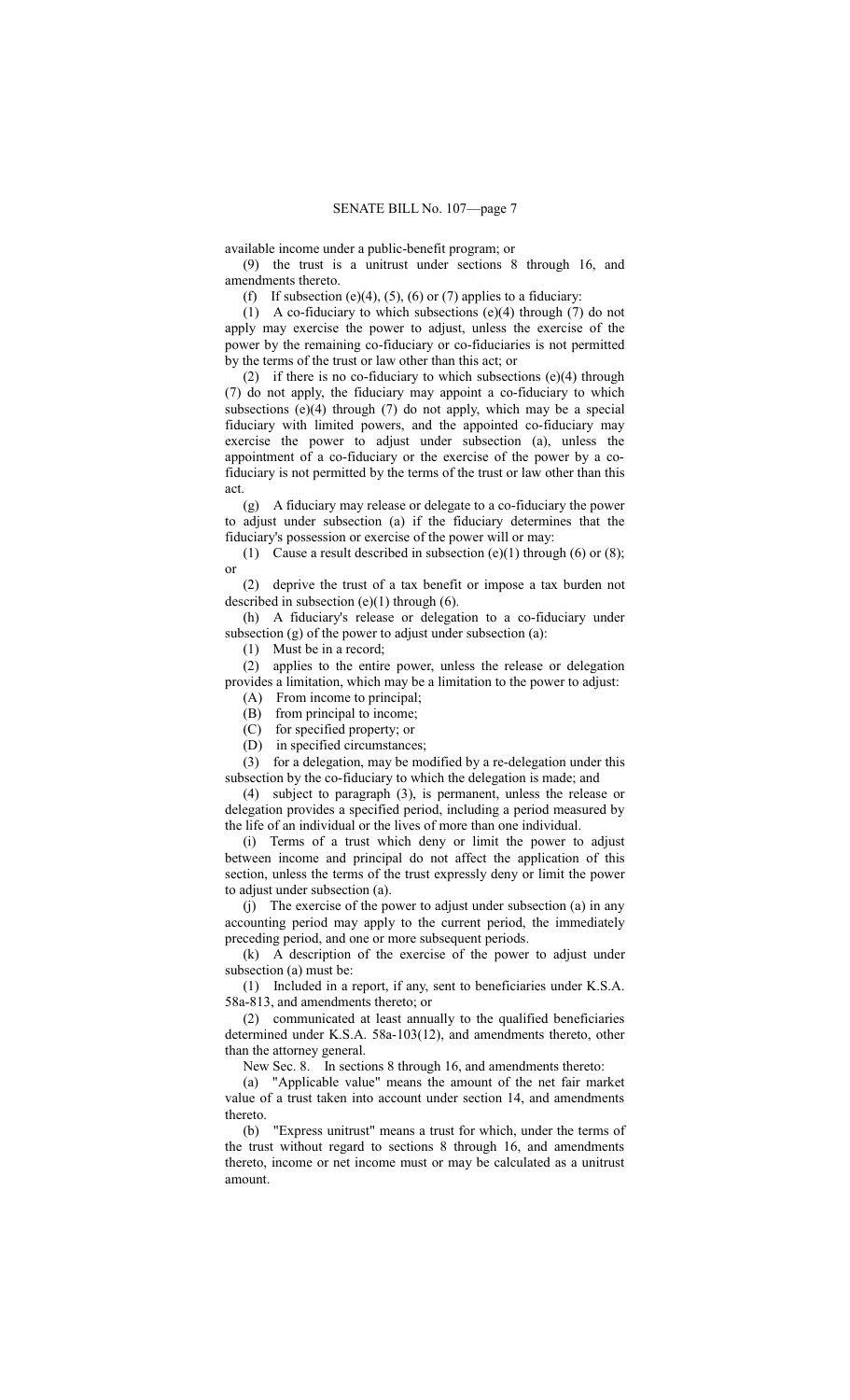available income under a public-benefit program; or

(9) the trust is a unitrust under sections 8 through 16, and amendments thereto.

(f) If subsection (e)(4), (5), (6) or (7) applies to a fiduciary:

(1) A co-fiduciary to which subsections (e)(4) through (7) do not apply may exercise the power to adjust, unless the exercise of the power by the remaining co-fiduciary or co-fiduciaries is not permitted by the terms of the trust or law other than this act; or

(2) if there is no co-fiduciary to which subsections  $(e)(4)$  through (7) do not apply, the fiduciary may appoint a co-fiduciary to which subsections  $(e)(4)$  through  $(7)$  do not apply, which may be a special fiduciary with limited powers, and the appointed co-fiduciary may exercise the power to adjust under subsection (a), unless the appointment of a co-fiduciary or the exercise of the power by a cofiduciary is not permitted by the terms of the trust or law other than this act.

(g) A fiduciary may release or delegate to a co-fiduciary the power to adjust under subsection (a) if the fiduciary determines that the fiduciary's possession or exercise of the power will or may:

(1) Cause a result described in subsection (e)(1) through (6) or (8); or

(2) deprive the trust of a tax benefit or impose a tax burden not described in subsection  $(e)(1)$  through  $(6)$ .

(h) A fiduciary's release or delegation to a co-fiduciary under subsection (g) of the power to adjust under subsection (a):

(1) Must be in a record;

(2) applies to the entire power, unless the release or delegation provides a limitation, which may be a limitation to the power to adjust:

(A) From income to principal;

(B) from principal to income;

(C) for specified property; or

(D) in specified circumstances;

(3) for a delegation, may be modified by a re-delegation under this subsection by the co-fiduciary to which the delegation is made; and

(4) subject to paragraph (3), is permanent, unless the release or delegation provides a specified period, including a period measured by the life of an individual or the lives of more than one individual.

(i) Terms of a trust which deny or limit the power to adjust between income and principal do not affect the application of this section, unless the terms of the trust expressly deny or limit the power to adjust under subsection (a).

(j) The exercise of the power to adjust under subsection (a) in any accounting period may apply to the current period, the immediately preceding period, and one or more subsequent periods.

(k) A description of the exercise of the power to adjust under subsection (a) must be:

(1) Included in a report, if any, sent to beneficiaries under K.S.A. 58a-813, and amendments thereto; or

(2) communicated at least annually to the qualified beneficiaries determined under K.S.A. 58a-103(12), and amendments thereto, other than the attorney general.

New Sec. 8. In sections 8 through 16, and amendments thereto:

(a) "Applicable value" means the amount of the net fair market value of a trust taken into account under section 14, and amendments thereto.

(b) "Express unitrust" means a trust for which, under the terms of the trust without regard to sections 8 through 16, and amendments thereto, income or net income must or may be calculated as a unitrust amount.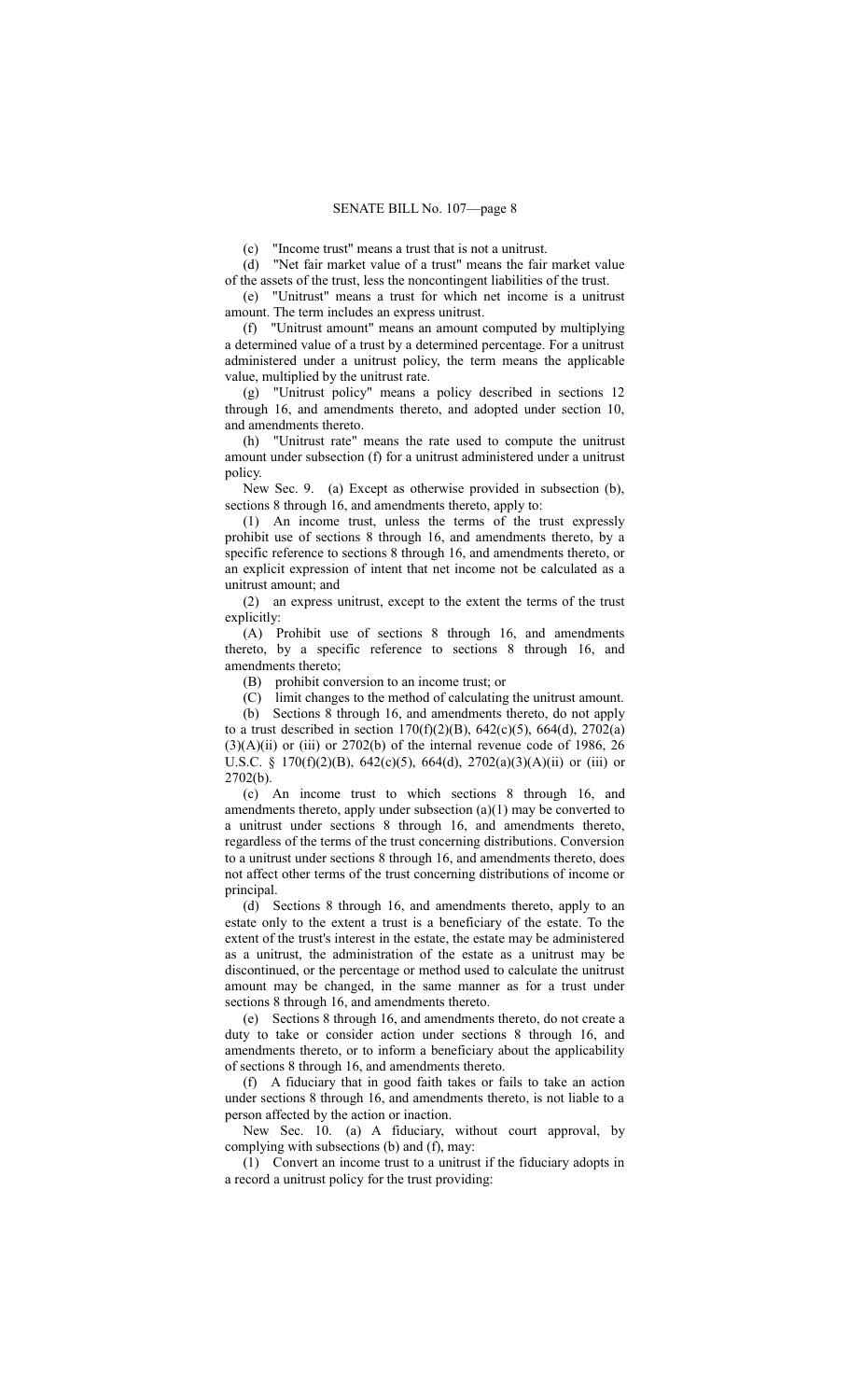(c) "Income trust" means a trust that is not a unitrust.

(d) "Net fair market value of a trust" means the fair market value of the assets of the trust, less the noncontingent liabilities of the trust.

(e) "Unitrust" means a trust for which net income is a unitrust amount. The term includes an express unitrust.

(f) "Unitrust amount" means an amount computed by multiplying a determined value of a trust by a determined percentage. For a unitrust administered under a unitrust policy, the term means the applicable value, multiplied by the unitrust rate.

(g) "Unitrust policy" means a policy described in sections 12 through 16, and amendments thereto, and adopted under section 10, and amendments thereto.

(h) "Unitrust rate" means the rate used to compute the unitrust amount under subsection (f) for a unitrust administered under a unitrust policy.

New Sec. 9. (a) Except as otherwise provided in subsection (b), sections 8 through 16, and amendments thereto, apply to:

(1) An income trust, unless the terms of the trust expressly prohibit use of sections 8 through 16, and amendments thereto, by a specific reference to sections 8 through 16, and amendments thereto, or an explicit expression of intent that net income not be calculated as a unitrust amount; and

(2) an express unitrust, except to the extent the terms of the trust explicitly:

(A) Prohibit use of sections 8 through 16, and amendments thereto, by a specific reference to sections 8 through 16, and amendments thereto;

(B) prohibit conversion to an income trust; or

(C) limit changes to the method of calculating the unitrust amount.

(b) Sections 8 through 16, and amendments thereto, do not apply to a trust described in section 170(f)(2)(B), 642(c)(5), 664(d), 2702(a)  $(3)(A)(ii)$  or (iii) or 2702(b) of the internal revenue code of 1986, 26 U.S.C. § 170(f)(2)(B), 642(c)(5), 664(d), 2702(a)(3)(A)(ii) or (iii) or 2702(b).

(c) An income trust to which sections 8 through 16, and amendments thereto, apply under subsection (a)(1) may be converted to a unitrust under sections 8 through 16, and amendments thereto, regardless of the terms of the trust concerning distributions. Conversion to a unitrust under sections 8 through 16, and amendments thereto, does not affect other terms of the trust concerning distributions of income or principal.

(d) Sections 8 through 16, and amendments thereto, apply to an estate only to the extent a trust is a beneficiary of the estate. To the extent of the trust's interest in the estate, the estate may be administered as a unitrust, the administration of the estate as a unitrust may be discontinued, or the percentage or method used to calculate the unitrust amount may be changed, in the same manner as for a trust under sections 8 through 16, and amendments thereto.

(e) Sections 8 through 16, and amendments thereto, do not create a duty to take or consider action under sections 8 through 16, and amendments thereto, or to inform a beneficiary about the applicability of sections 8 through 16, and amendments thereto.

(f) A fiduciary that in good faith takes or fails to take an action under sections 8 through 16, and amendments thereto, is not liable to a person affected by the action or inaction.

New Sec. 10. (a) A fiduciary, without court approval, by complying with subsections (b) and (f), may:

(1) Convert an income trust to a unitrust if the fiduciary adopts in a record a unitrust policy for the trust providing: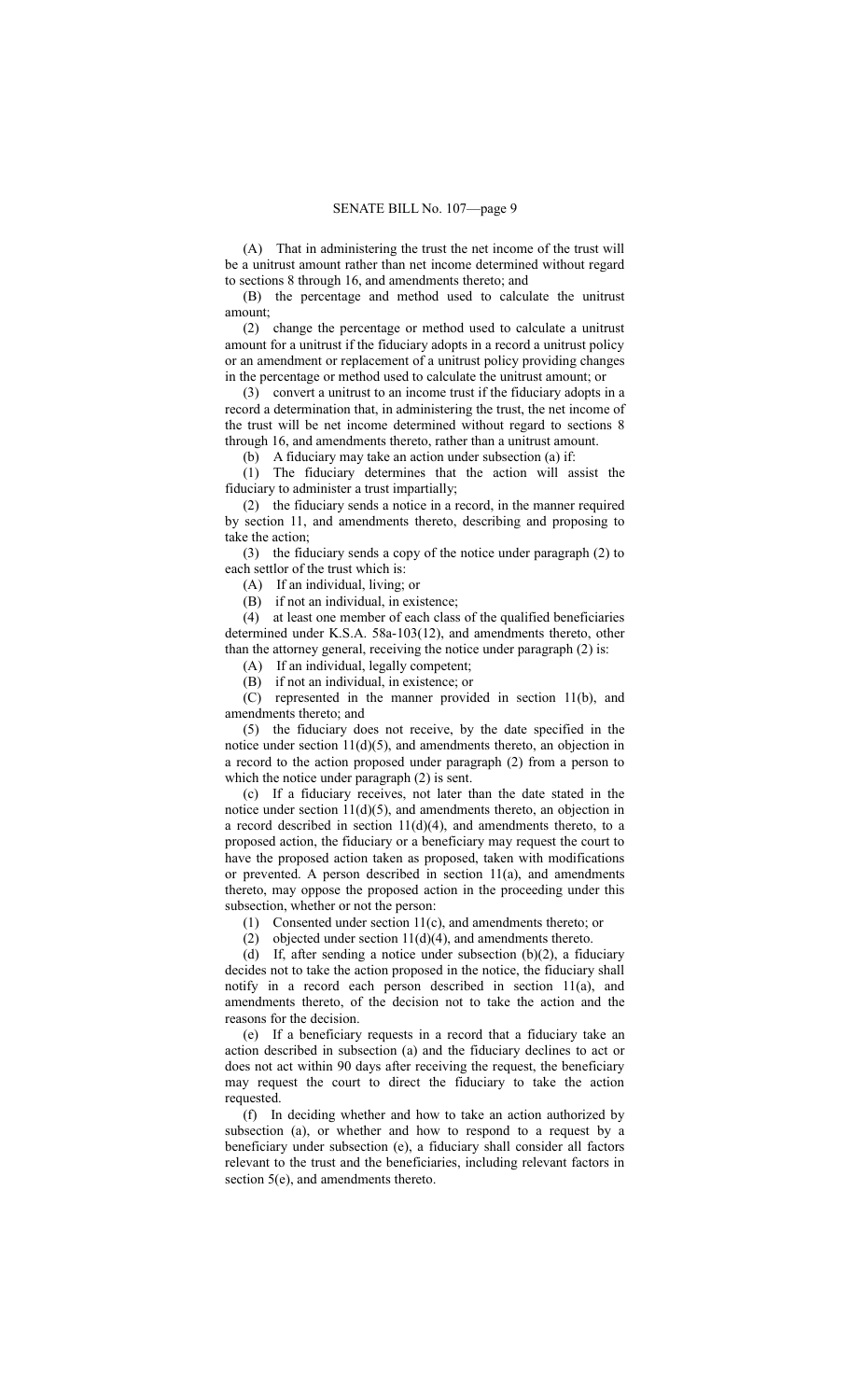(A) That in administering the trust the net income of the trust will be a unitrust amount rather than net income determined without regard to sections 8 through 16, and amendments thereto; and

(B) the percentage and method used to calculate the unitrust amount;

(2) change the percentage or method used to calculate a unitrust amount for a unitrust if the fiduciary adopts in a record a unitrust policy or an amendment or replacement of a unitrust policy providing changes in the percentage or method used to calculate the unitrust amount; or

(3) convert a unitrust to an income trust if the fiduciary adopts in a record a determination that, in administering the trust, the net income of the trust will be net income determined without regard to sections 8 through 16, and amendments thereto, rather than a unitrust amount.

(b) A fiduciary may take an action under subsection (a) if:

(1) The fiduciary determines that the action will assist the fiduciary to administer a trust impartially;

(2) the fiduciary sends a notice in a record, in the manner required by section 11, and amendments thereto, describing and proposing to take the action;

(3) the fiduciary sends a copy of the notice under paragraph (2) to each settlor of the trust which is:

(A) If an individual, living; or

(B) if not an individual, in existence;

(4) at least one member of each class of the qualified beneficiaries determined under K.S.A. 58a-103(12), and amendments thereto, other than the attorney general, receiving the notice under paragraph (2) is:

(A) If an individual, legally competent;

(B) if not an individual, in existence; or

(C) represented in the manner provided in section 11(b), and amendments thereto; and

(5) the fiduciary does not receive, by the date specified in the notice under section  $11(d)(5)$ , and amendments thereto, an objection in a record to the action proposed under paragraph (2) from a person to which the notice under paragraph  $(2)$  is sent.

(c) If a fiduciary receives, not later than the date stated in the notice under section  $11(d)(5)$ , and amendments thereto, an objection in a record described in section  $11(d)(4)$ , and amendments thereto, to a proposed action, the fiduciary or a beneficiary may request the court to have the proposed action taken as proposed, taken with modifications or prevented. A person described in section  $11(a)$ , and amendments thereto, may oppose the proposed action in the proceeding under this subsection, whether or not the person:

(1) Consented under section 11(c), and amendments thereto; or

(2) objected under section 11(d)(4), and amendments thereto.

(d) If, after sending a notice under subsection (b)(2), a fiduciary decides not to take the action proposed in the notice, the fiduciary shall notify in a record each person described in section 11(a), and amendments thereto, of the decision not to take the action and the reasons for the decision.

(e) If a beneficiary requests in a record that a fiduciary take an action described in subsection (a) and the fiduciary declines to act or does not act within 90 days after receiving the request, the beneficiary may request the court to direct the fiduciary to take the action requested.

(f) In deciding whether and how to take an action authorized by subsection (a), or whether and how to respond to a request by a beneficiary under subsection (e), a fiduciary shall consider all factors relevant to the trust and the beneficiaries, including relevant factors in section 5(e), and amendments thereto.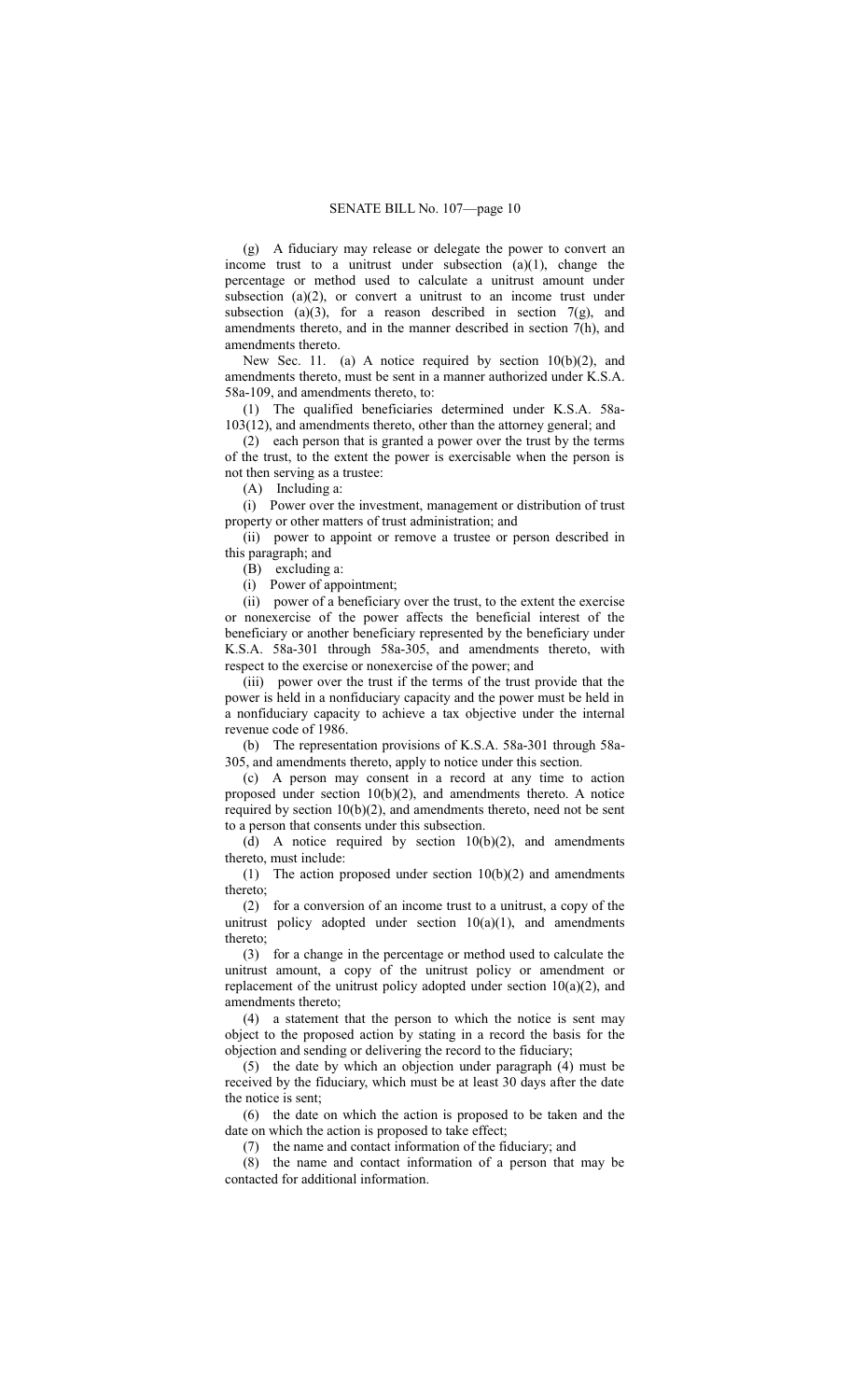(g) A fiduciary may release or delegate the power to convert an income trust to a unitrust under subsection  $(a)(1)$ , change the percentage or method used to calculate a unitrust amount under subsection  $(a)(2)$ , or convert a unitrust to an income trust under subsection (a)(3), for a reason described in section  $7(g)$ , and amendments thereto, and in the manner described in section 7(h), and amendments thereto.

New Sec. 11. (a) A notice required by section  $10(b)(2)$ , and amendments thereto, must be sent in a manner authorized under K.S.A. 58a-109, and amendments thereto, to:

(1) The qualified beneficiaries determined under K.S.A. 58a-103(12), and amendments thereto, other than the attorney general; and

(2) each person that is granted a power over the trust by the terms of the trust, to the extent the power is exercisable when the person is not then serving as a trustee:

(A) Including a:

(i) Power over the investment, management or distribution of trust property or other matters of trust administration; and

(ii) power to appoint or remove a trustee or person described in this paragraph; and

(B) excluding a:

(i) Power of appointment;

(ii) power of a beneficiary over the trust, to the extent the exercise or nonexercise of the power affects the beneficial interest of the beneficiary or another beneficiary represented by the beneficiary under K.S.A. 58a-301 through 58a-305, and amendments thereto, with respect to the exercise or nonexercise of the power; and

(iii) power over the trust if the terms of the trust provide that the power is held in a nonfiduciary capacity and the power must be held in a nonfiduciary capacity to achieve a tax objective under the internal revenue code of 1986.

(b) The representation provisions of K.S.A. 58a-301 through 58a-305, and amendments thereto, apply to notice under this section.

(c) A person may consent in a record at any time to action proposed under section 10(b)(2), and amendments thereto. A notice required by section 10(b)(2), and amendments thereto, need not be sent to a person that consents under this subsection.

(d) A notice required by section  $10(b)(2)$ , and amendments thereto, must include:

(1) The action proposed under section 10(b)(2) and amendments thereto;

(2) for a conversion of an income trust to a unitrust, a copy of the unitrust policy adopted under section  $10(a)(1)$ , and amendments thereto;

(3) for a change in the percentage or method used to calculate the unitrust amount, a copy of the unitrust policy or amendment or replacement of the unitrust policy adopted under section 10(a)(2), and amendments thereto;

(4) a statement that the person to which the notice is sent may object to the proposed action by stating in a record the basis for the objection and sending or delivering the record to the fiduciary;

(5) the date by which an objection under paragraph (4) must be received by the fiduciary, which must be at least 30 days after the date the notice is sent;

(6) the date on which the action is proposed to be taken and the date on which the action is proposed to take effect;

(7) the name and contact information of the fiduciary; and

(8) the name and contact information of a person that may be contacted for additional information.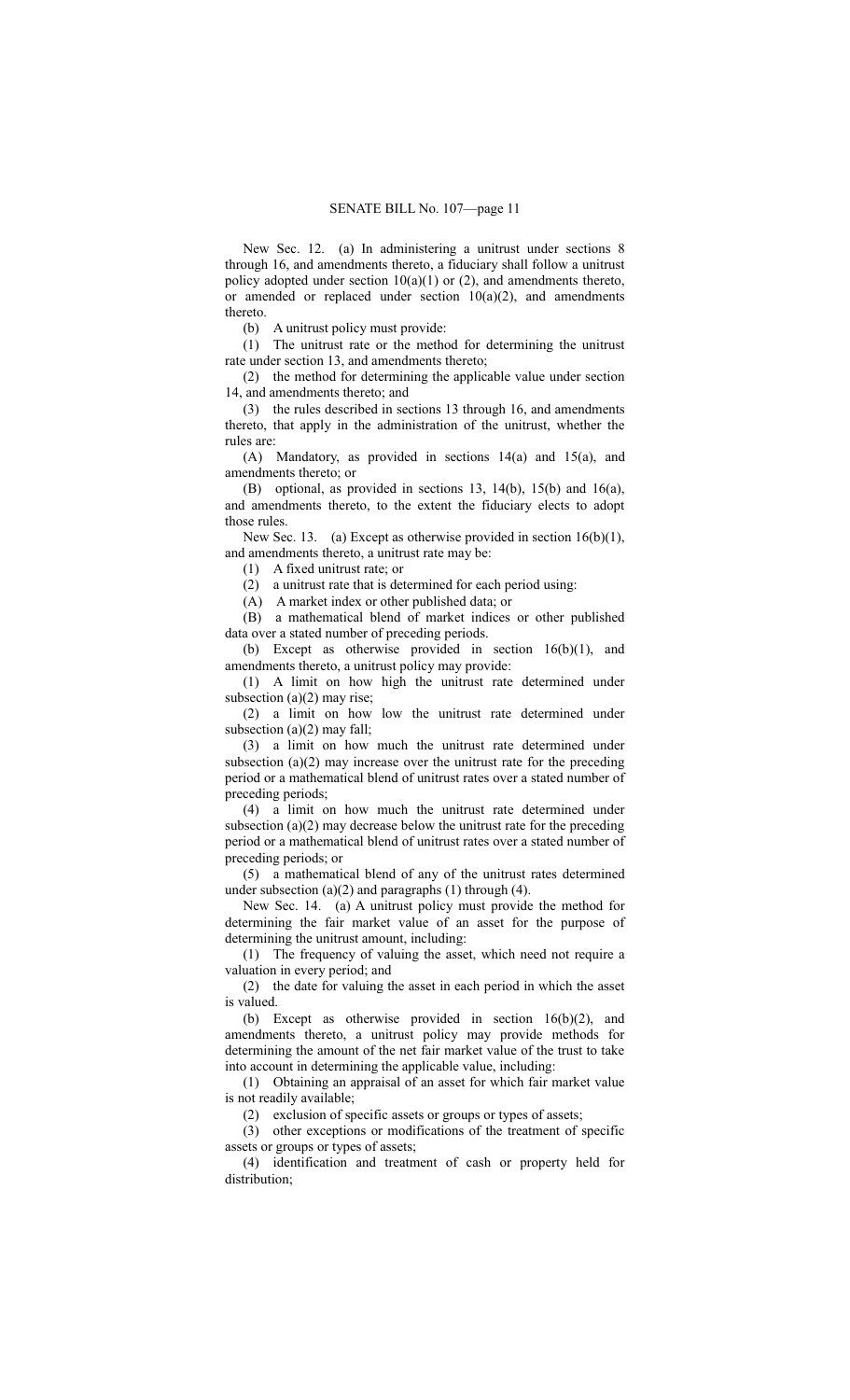New Sec. 12. (a) In administering a unitrust under sections 8 through 16, and amendments thereto, a fiduciary shall follow a unitrust policy adopted under section  $10(a)(1)$  or  $(2)$ , and amendments thereto, or amended or replaced under section  $10(a)(2)$ , and amendments thereto.

(b) A unitrust policy must provide:

(1) The unitrust rate or the method for determining the unitrust rate under section 13, and amendments thereto;

(2) the method for determining the applicable value under section 14, and amendments thereto; and

(3) the rules described in sections 13 through 16, and amendments thereto, that apply in the administration of the unitrust, whether the rules are:

(A) Mandatory, as provided in sections 14(a) and 15(a), and amendments thereto; or

(B) optional, as provided in sections 13, 14(b), 15(b) and 16(a), and amendments thereto, to the extent the fiduciary elects to adopt those rules.

New Sec. 13. (a) Except as otherwise provided in section 16(b)(1), and amendments thereto, a unitrust rate may be:

(1) A fixed unitrust rate; or

(2) a unitrust rate that is determined for each period using:

(A) A market index or other published data; or

(B) a mathematical blend of market indices or other published data over a stated number of preceding periods.

(b) Except as otherwise provided in section 16(b)(1), and amendments thereto, a unitrust policy may provide:

(1) A limit on how high the unitrust rate determined under subsection (a)(2) may rise;

(2) a limit on how low the unitrust rate determined under subsection (a)(2) may fall;

(3) a limit on how much the unitrust rate determined under subsection  $(a)(2)$  may increase over the unitrust rate for the preceding period or a mathematical blend of unitrust rates over a stated number of preceding periods;

(4) a limit on how much the unitrust rate determined under subsection  $(a)(2)$  may decrease below the unitrust rate for the preceding period or a mathematical blend of unitrust rates over a stated number of preceding periods; or

(5) a mathematical blend of any of the unitrust rates determined under subsection  $(a)(2)$  and paragraphs  $(1)$  through  $(4)$ .

New Sec. 14. (a) A unitrust policy must provide the method for determining the fair market value of an asset for the purpose of determining the unitrust amount, including:

(1) The frequency of valuing the asset, which need not require a valuation in every period; and

(2) the date for valuing the asset in each period in which the asset is valued.

(b) Except as otherwise provided in section 16(b)(2), and amendments thereto, a unitrust policy may provide methods for determining the amount of the net fair market value of the trust to take into account in determining the applicable value, including:

(1) Obtaining an appraisal of an asset for which fair market value is not readily available;

(2) exclusion of specific assets or groups or types of assets;

(3) other exceptions or modifications of the treatment of specific assets or groups or types of assets;

(4) identification and treatment of cash or property held for distribution;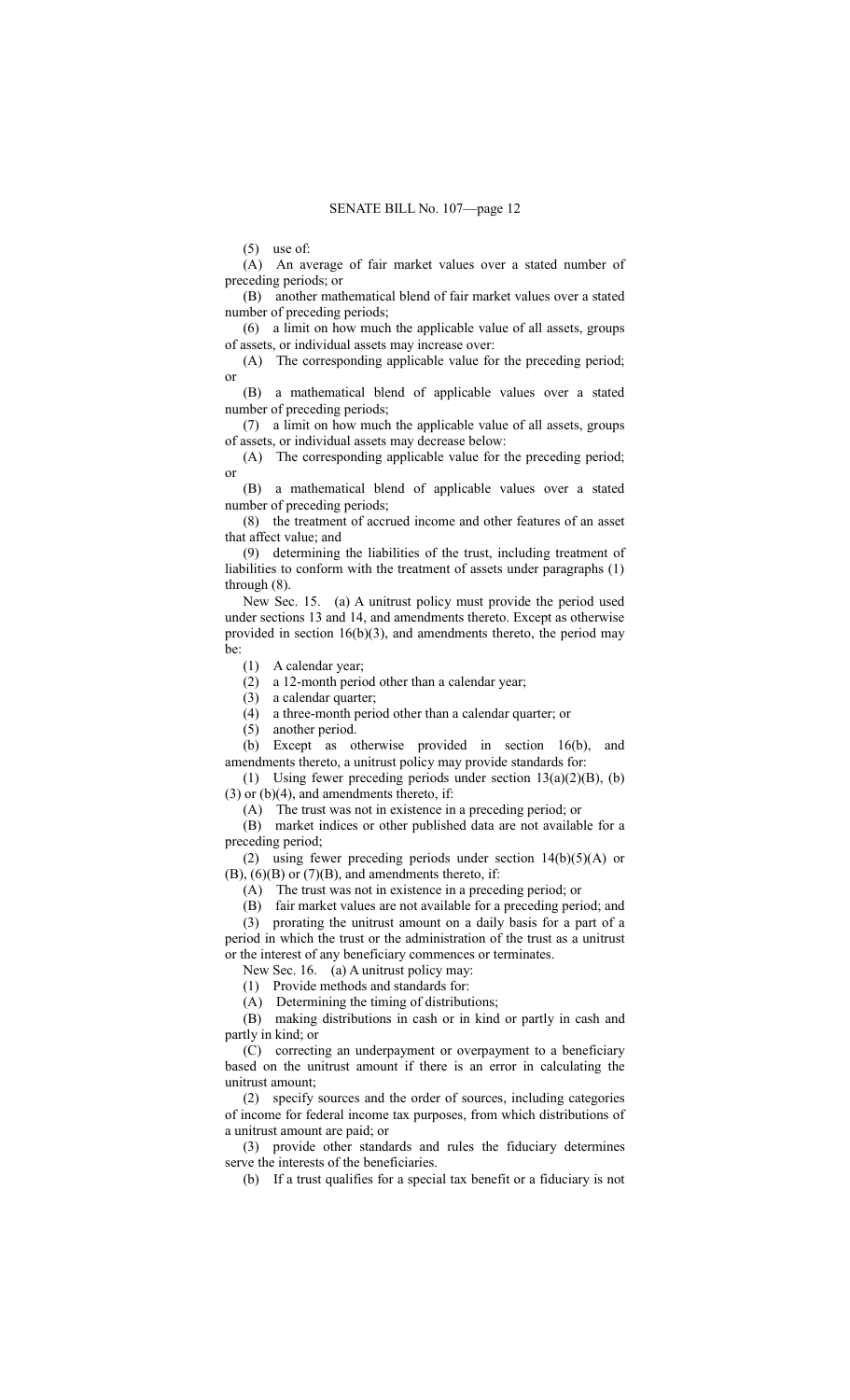(5) use of:

(A) An average of fair market values over a stated number of preceding periods; or

(B) another mathematical blend of fair market values over a stated number of preceding periods;

(6) a limit on how much the applicable value of all assets, groups of assets, or individual assets may increase over:

(A) The corresponding applicable value for the preceding period; or

(B) a mathematical blend of applicable values over a stated number of preceding periods;

(7) a limit on how much the applicable value of all assets, groups of assets, or individual assets may decrease below:

(A) The corresponding applicable value for the preceding period; or

(B) a mathematical blend of applicable values over a stated number of preceding periods;

(8) the treatment of accrued income and other features of an asset that affect value; and

(9) determining the liabilities of the trust, including treatment of liabilities to conform with the treatment of assets under paragraphs (1) through (8).

New Sec. 15. (a) A unitrust policy must provide the period used under sections 13 and 14, and amendments thereto. Except as otherwise provided in section 16(b)(3), and amendments thereto, the period may be:

(1) A calendar year;

(2) a 12-month period other than a calendar year;

(3) a calendar quarter;

(4) a three-month period other than a calendar quarter; or

(5) another period.

(b) Except as otherwise provided in section 16(b), and amendments thereto, a unitrust policy may provide standards for:

(1) Using fewer preceding periods under section  $13(a)(2)(B)$ , (b)  $(3)$  or  $(b)(4)$ , and amendments thereto, if:

(A) The trust was not in existence in a preceding period; or

(B) market indices or other published data are not available for a preceding period;

(2) using fewer preceding periods under section 14(b)(5)(A) or  $(B)$ ,  $(6)(B)$  or  $(7)(B)$ , and amendments thereto, if:

(A) The trust was not in existence in a preceding period; or

(B) fair market values are not available for a preceding period; and

(3) prorating the unitrust amount on a daily basis for a part of a period in which the trust or the administration of the trust as a unitrust or the interest of any beneficiary commences or terminates.

New Sec. 16. (a) A unitrust policy may:

(1) Provide methods and standards for:

(A) Determining the timing of distributions;

(B) making distributions in cash or in kind or partly in cash and partly in kind; or

(C) correcting an underpayment or overpayment to a beneficiary based on the unitrust amount if there is an error in calculating the unitrust amount;

(2) specify sources and the order of sources, including categories of income for federal income tax purposes, from which distributions of a unitrust amount are paid; or

(3) provide other standards and rules the fiduciary determines serve the interests of the beneficiaries.

(b) If a trust qualifies for a special tax benefit or a fiduciary is not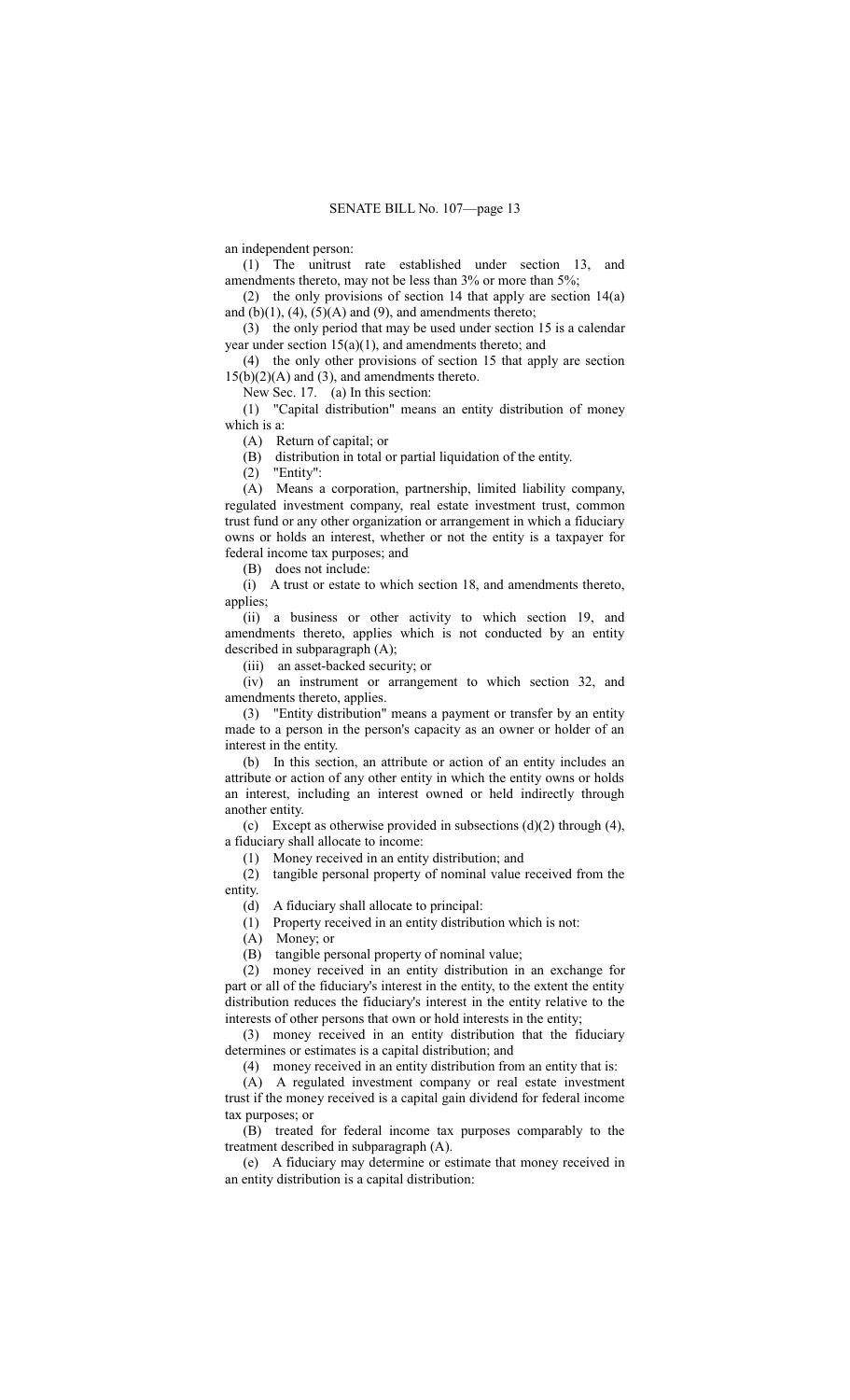an independent person:

(1) The unitrust rate established under section 13, and amendments thereto, may not be less than 3% or more than 5%;

(2) the only provisions of section 14 that apply are section 14(a) and  $(b)(1)$ ,  $(4)$ ,  $(5)(A)$  and  $(9)$ , and amendments thereto;

(3) the only period that may be used under section 15 is a calendar year under section 15(a)(1), and amendments thereto; and

(4) the only other provisions of section 15 that apply are section  $15(b)(2)(A)$  and (3), and amendments thereto.

New Sec. 17. (a) In this section:

(1) "Capital distribution" means an entity distribution of money which is a:

(A) Return of capital; or

(B) distribution in total or partial liquidation of the entity.

(2) "Entity":

(A) Means a corporation, partnership, limited liability company, regulated investment company, real estate investment trust, common trust fund or any other organization or arrangement in which a fiduciary owns or holds an interest, whether or not the entity is a taxpayer for federal income tax purposes; and

(B) does not include:

(i) A trust or estate to which section 18, and amendments thereto, applies;

(ii) a business or other activity to which section 19, and amendments thereto, applies which is not conducted by an entity described in subparagraph (A);

(iii) an asset-backed security; or

(iv) an instrument or arrangement to which section 32, and amendments thereto, applies.

(3) "Entity distribution" means a payment or transfer by an entity made to a person in the person's capacity as an owner or holder of an interest in the entity.

(b) In this section, an attribute or action of an entity includes an attribute or action of any other entity in which the entity owns or holds an interest, including an interest owned or held indirectly through another entity.

(c) Except as otherwise provided in subsections  $(d)(2)$  through  $(4)$ , a fiduciary shall allocate to income:

(1) Money received in an entity distribution; and

(2) tangible personal property of nominal value received from the entity.

(d) A fiduciary shall allocate to principal:

(1) Property received in an entity distribution which is not:

(A) Money; or

(B) tangible personal property of nominal value;

(2) money received in an entity distribution in an exchange for part or all of the fiduciary's interest in the entity, to the extent the entity distribution reduces the fiduciary's interest in the entity relative to the interests of other persons that own or hold interests in the entity;

(3) money received in an entity distribution that the fiduciary determines or estimates is a capital distribution; and

(4) money received in an entity distribution from an entity that is:

(A) A regulated investment company or real estate investment trust if the money received is a capital gain dividend for federal income tax purposes; or

(B) treated for federal income tax purposes comparably to the treatment described in subparagraph (A).

(e) A fiduciary may determine or estimate that money received in an entity distribution is a capital distribution: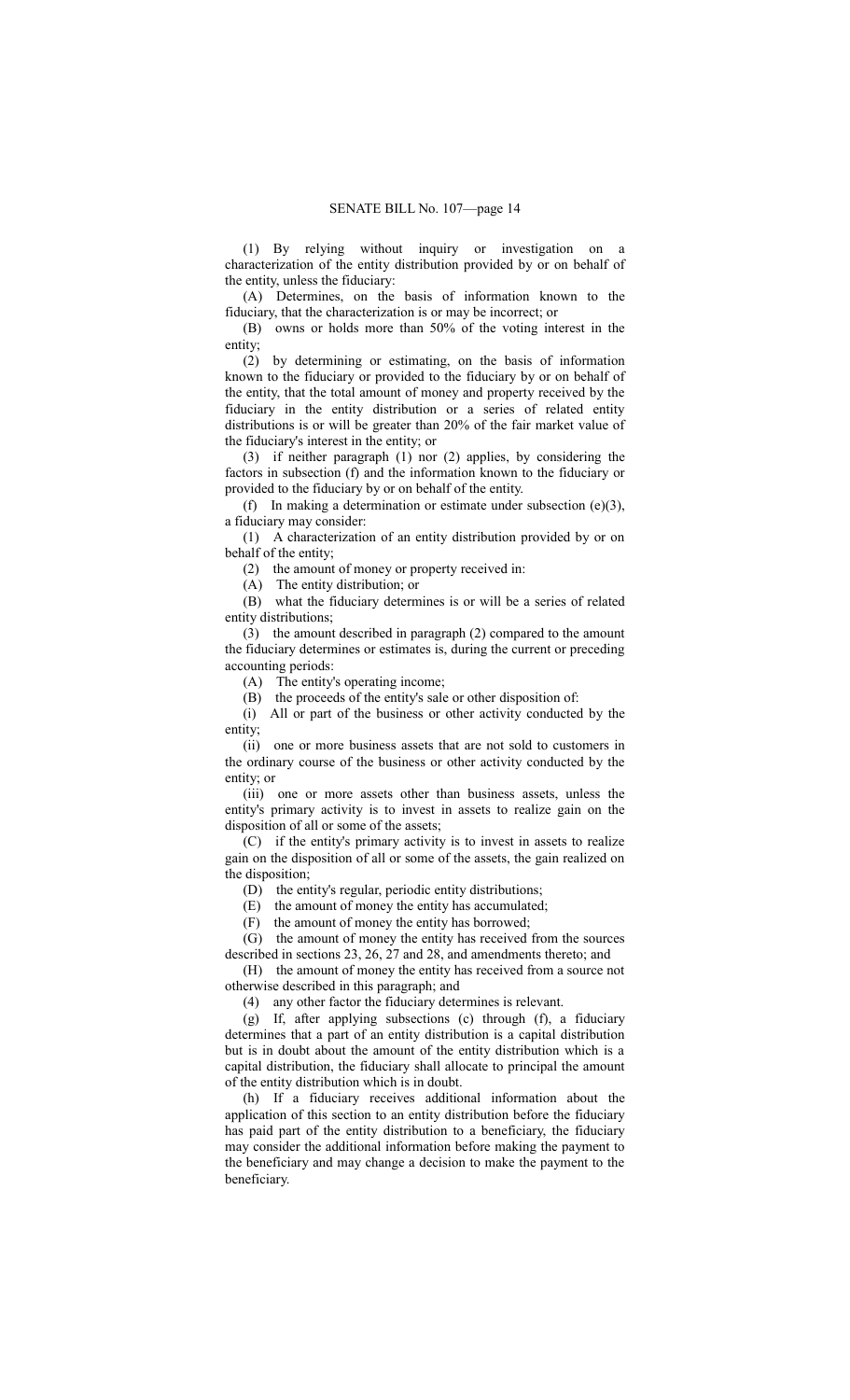(1) By relying without inquiry or investigation on a characterization of the entity distribution provided by or on behalf of the entity, unless the fiduciary:

(A) Determines, on the basis of information known to the fiduciary, that the characterization is or may be incorrect; or

(B) owns or holds more than 50% of the voting interest in the entity;

(2) by determining or estimating, on the basis of information known to the fiduciary or provided to the fiduciary by or on behalf of the entity, that the total amount of money and property received by the fiduciary in the entity distribution or a series of related entity distributions is or will be greater than 20% of the fair market value of the fiduciary's interest in the entity; or

(3) if neither paragraph (1) nor (2) applies, by considering the factors in subsection (f) and the information known to the fiduciary or provided to the fiduciary by or on behalf of the entity.

(f) In making a determination or estimate under subsection  $(e)(3)$ , a fiduciary may consider:

(1) A characterization of an entity distribution provided by or on behalf of the entity;

(2) the amount of money or property received in:

(A) The entity distribution; or

(B) what the fiduciary determines is or will be a series of related entity distributions;

(3) the amount described in paragraph (2) compared to the amount the fiduciary determines or estimates is, during the current or preceding accounting periods:

(A) The entity's operating income;

(B) the proceeds of the entity's sale or other disposition of:

(i) All or part of the business or other activity conducted by the entity;

(ii) one or more business assets that are not sold to customers in the ordinary course of the business or other activity conducted by the entity; or

(iii) one or more assets other than business assets, unless the entity's primary activity is to invest in assets to realize gain on the disposition of all or some of the assets;

(C) if the entity's primary activity is to invest in assets to realize gain on the disposition of all or some of the assets, the gain realized on the disposition;

(D) the entity's regular, periodic entity distributions;

(E) the amount of money the entity has accumulated;

(F) the amount of money the entity has borrowed;

(G) the amount of money the entity has received from the sources described in sections 23, 26, 27 and 28, and amendments thereto; and

(H) the amount of money the entity has received from a source not otherwise described in this paragraph; and

(4) any other factor the fiduciary determines is relevant.

(g) If, after applying subsections (c) through (f), a fiduciary determines that a part of an entity distribution is a capital distribution but is in doubt about the amount of the entity distribution which is a capital distribution, the fiduciary shall allocate to principal the amount of the entity distribution which is in doubt.

(h) If a fiduciary receives additional information about the application of this section to an entity distribution before the fiduciary has paid part of the entity distribution to a beneficiary, the fiduciary may consider the additional information before making the payment to the beneficiary and may change a decision to make the payment to the beneficiary.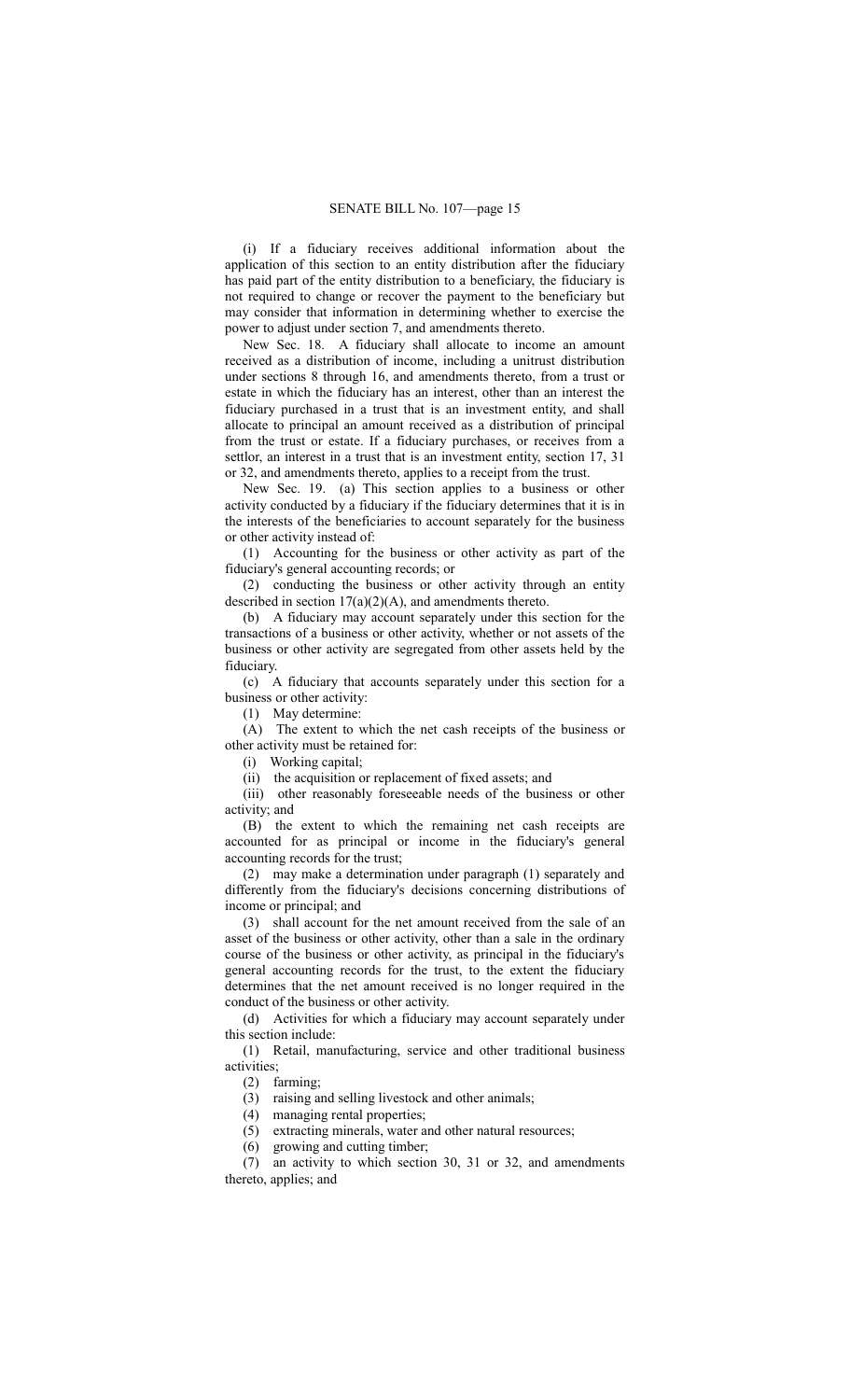(i) If a fiduciary receives additional information about the application of this section to an entity distribution after the fiduciary has paid part of the entity distribution to a beneficiary, the fiduciary is not required to change or recover the payment to the beneficiary but may consider that information in determining whether to exercise the power to adjust under section 7, and amendments thereto.

New Sec. 18. A fiduciary shall allocate to income an amount received as a distribution of income, including a unitrust distribution under sections 8 through 16, and amendments thereto, from a trust or estate in which the fiduciary has an interest, other than an interest the fiduciary purchased in a trust that is an investment entity, and shall allocate to principal an amount received as a distribution of principal from the trust or estate. If a fiduciary purchases, or receives from a settlor, an interest in a trust that is an investment entity, section 17, 31 or 32, and amendments thereto, applies to a receipt from the trust.

New Sec. 19. (a) This section applies to a business or other activity conducted by a fiduciary if the fiduciary determines that it is in the interests of the beneficiaries to account separately for the business or other activity instead of:

(1) Accounting for the business or other activity as part of the fiduciary's general accounting records; or

(2) conducting the business or other activity through an entity described in section 17(a)(2)(A), and amendments thereto.

(b) A fiduciary may account separately under this section for the transactions of a business or other activity, whether or not assets of the business or other activity are segregated from other assets held by the fiduciary.

(c) A fiduciary that accounts separately under this section for a business or other activity:

(1) May determine:

(A) The extent to which the net cash receipts of the business or other activity must be retained for:

(i) Working capital;

(ii) the acquisition or replacement of fixed assets; and

(iii) other reasonably foreseeable needs of the business or other activity; and

(B) the extent to which the remaining net cash receipts are accounted for as principal or income in the fiduciary's general accounting records for the trust;

(2) may make a determination under paragraph (1) separately and differently from the fiduciary's decisions concerning distributions of income or principal; and

(3) shall account for the net amount received from the sale of an asset of the business or other activity, other than a sale in the ordinary course of the business or other activity, as principal in the fiduciary's general accounting records for the trust, to the extent the fiduciary determines that the net amount received is no longer required in the conduct of the business or other activity.

(d) Activities for which a fiduciary may account separately under this section include:

(1) Retail, manufacturing, service and other traditional business activities;

(2) farming;

(3) raising and selling livestock and other animals;

(4) managing rental properties;

(5) extracting minerals, water and other natural resources;

(6) growing and cutting timber;

(7) an activity to which section 30, 31 or 32, and amendments thereto, applies; and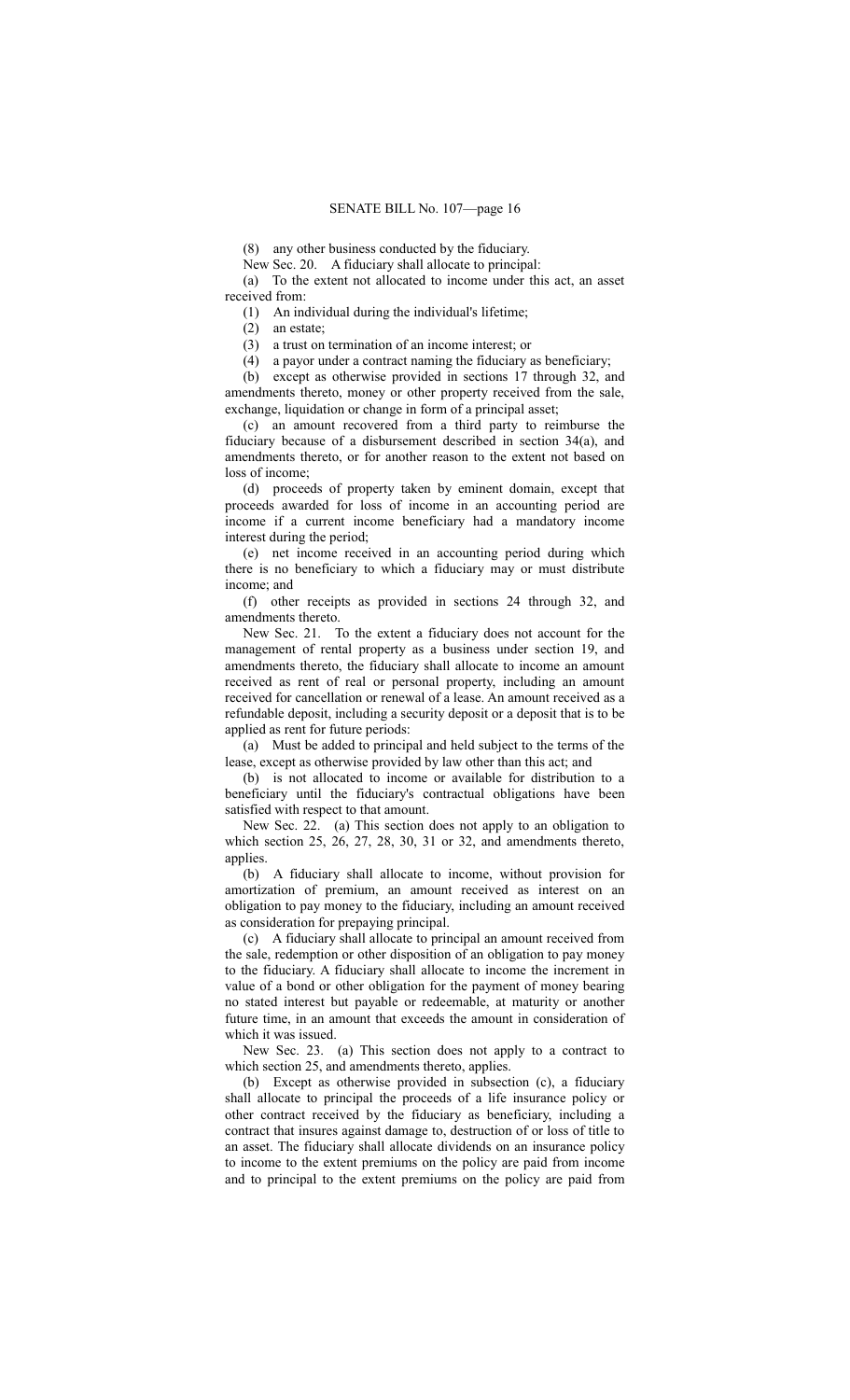(8) any other business conducted by the fiduciary.

New Sec. 20. A fiduciary shall allocate to principal:

(a) To the extent not allocated to income under this act, an asset received from:

(1) An individual during the individual's lifetime;

(2) an estate;

(3) a trust on termination of an income interest; or

(4) a payor under a contract naming the fiduciary as beneficiary;

(b) except as otherwise provided in sections 17 through 32, and amendments thereto, money or other property received from the sale, exchange, liquidation or change in form of a principal asset;

(c) an amount recovered from a third party to reimburse the fiduciary because of a disbursement described in section 34(a), and amendments thereto, or for another reason to the extent not based on loss of income;

(d) proceeds of property taken by eminent domain, except that proceeds awarded for loss of income in an accounting period are income if a current income beneficiary had a mandatory income interest during the period;

(e) net income received in an accounting period during which there is no beneficiary to which a fiduciary may or must distribute income; and

(f) other receipts as provided in sections 24 through 32, and amendments thereto.

New Sec. 21. To the extent a fiduciary does not account for the management of rental property as a business under section 19, and amendments thereto, the fiduciary shall allocate to income an amount received as rent of real or personal property, including an amount received for cancellation or renewal of a lease. An amount received as a refundable deposit, including a security deposit or a deposit that is to be applied as rent for future periods:

(a) Must be added to principal and held subject to the terms of the lease, except as otherwise provided by law other than this act; and

(b) is not allocated to income or available for distribution to a beneficiary until the fiduciary's contractual obligations have been satisfied with respect to that amount.

New Sec. 22. (a) This section does not apply to an obligation to which section 25, 26, 27, 28, 30, 31 or 32, and amendments thereto, applies.

(b) A fiduciary shall allocate to income, without provision for amortization of premium, an amount received as interest on an obligation to pay money to the fiduciary, including an amount received as consideration for prepaying principal.

(c) A fiduciary shall allocate to principal an amount received from the sale, redemption or other disposition of an obligation to pay money to the fiduciary. A fiduciary shall allocate to income the increment in value of a bond or other obligation for the payment of money bearing no stated interest but payable or redeemable, at maturity or another future time, in an amount that exceeds the amount in consideration of which it was issued.

New Sec. 23. (a) This section does not apply to a contract to which section 25, and amendments thereto, applies.

(b) Except as otherwise provided in subsection (c), a fiduciary shall allocate to principal the proceeds of a life insurance policy or other contract received by the fiduciary as beneficiary, including a contract that insures against damage to, destruction of or loss of title to an asset. The fiduciary shall allocate dividends on an insurance policy to income to the extent premiums on the policy are paid from income and to principal to the extent premiums on the policy are paid from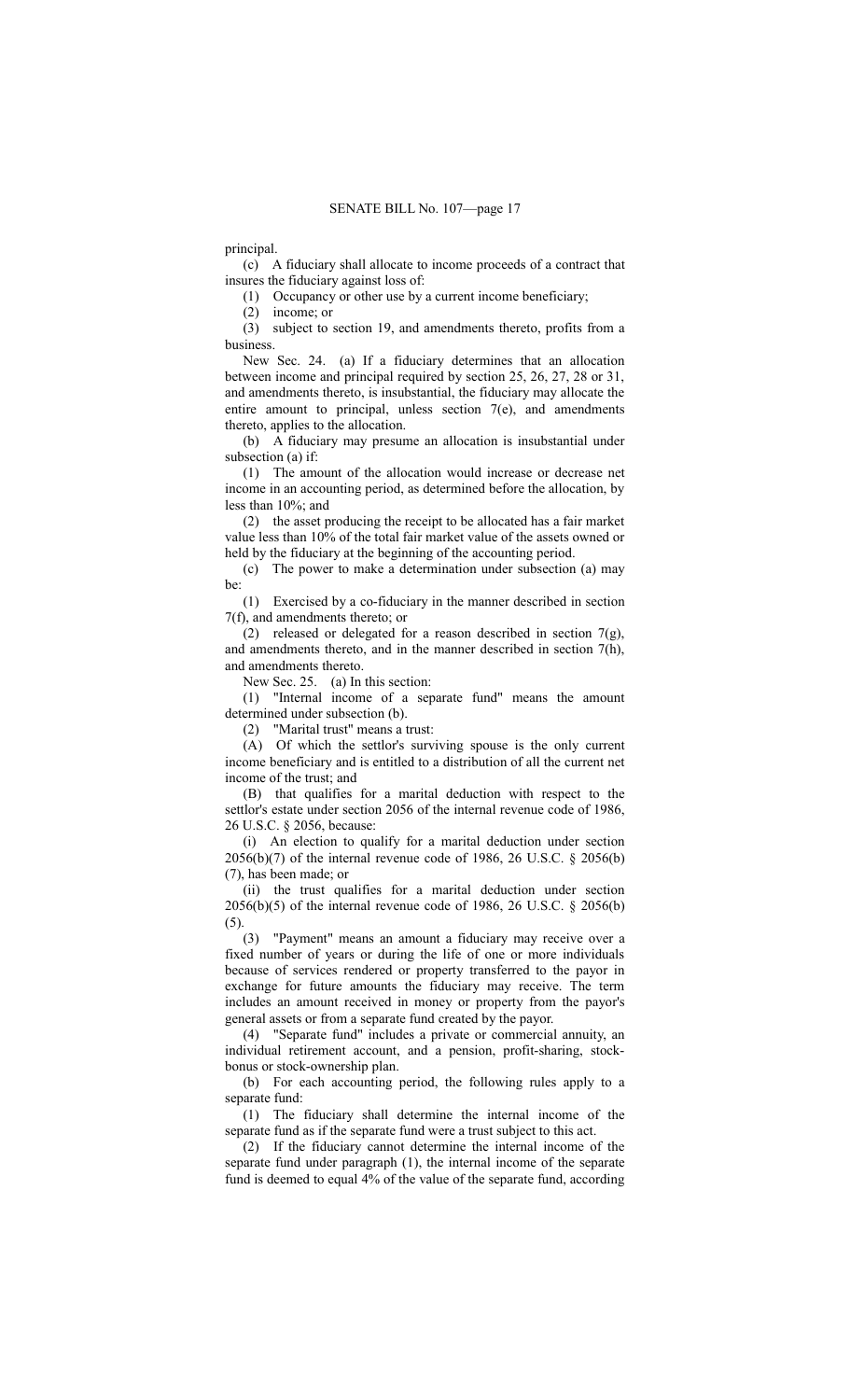principal.

(c) A fiduciary shall allocate to income proceeds of a contract that insures the fiduciary against loss of:

(1) Occupancy or other use by a current income beneficiary;

(2) income; or

(3) subject to section 19, and amendments thereto, profits from a business.

New Sec. 24. (a) If a fiduciary determines that an allocation between income and principal required by section 25, 26, 27, 28 or 31, and amendments thereto, is insubstantial, the fiduciary may allocate the entire amount to principal, unless section 7(e), and amendments thereto, applies to the allocation.

(b) A fiduciary may presume an allocation is insubstantial under subsection (a) if:

(1) The amount of the allocation would increase or decrease net income in an accounting period, as determined before the allocation, by less than 10%; and

(2) the asset producing the receipt to be allocated has a fair market value less than 10% of the total fair market value of the assets owned or held by the fiduciary at the beginning of the accounting period.

(c) The power to make a determination under subsection (a) may be:

(1) Exercised by a co-fiduciary in the manner described in section 7(f), and amendments thereto; or

(2) released or delegated for a reason described in section 7(g), and amendments thereto, and in the manner described in section 7(h), and amendments thereto.

New Sec. 25. (a) In this section:

(1) "Internal income of a separate fund" means the amount determined under subsection (b).

(2) "Marital trust" means a trust:

(A) Of which the settlor's surviving spouse is the only current income beneficiary and is entitled to a distribution of all the current net income of the trust; and

(B) that qualifies for a marital deduction with respect to the settlor's estate under section 2056 of the internal revenue code of 1986, 26 U.S.C. § 2056, because:

(i) An election to qualify for a marital deduction under section 2056(b)(7) of the internal revenue code of 1986, 26 U.S.C. § 2056(b) (7), has been made; or

(ii) the trust qualifies for a marital deduction under section 2056(b)(5) of the internal revenue code of 1986, 26 U.S.C. § 2056(b) (5).

(3) "Payment" means an amount a fiduciary may receive over a fixed number of years or during the life of one or more individuals because of services rendered or property transferred to the payor in exchange for future amounts the fiduciary may receive. The term includes an amount received in money or property from the payor's general assets or from a separate fund created by the payor.

(4) "Separate fund" includes a private or commercial annuity, an individual retirement account, and a pension, profit-sharing, stockbonus or stock-ownership plan.

(b) For each accounting period, the following rules apply to a separate fund:

(1) The fiduciary shall determine the internal income of the separate fund as if the separate fund were a trust subject to this act.

(2) If the fiduciary cannot determine the internal income of the separate fund under paragraph (1), the internal income of the separate fund is deemed to equal 4% of the value of the separate fund, according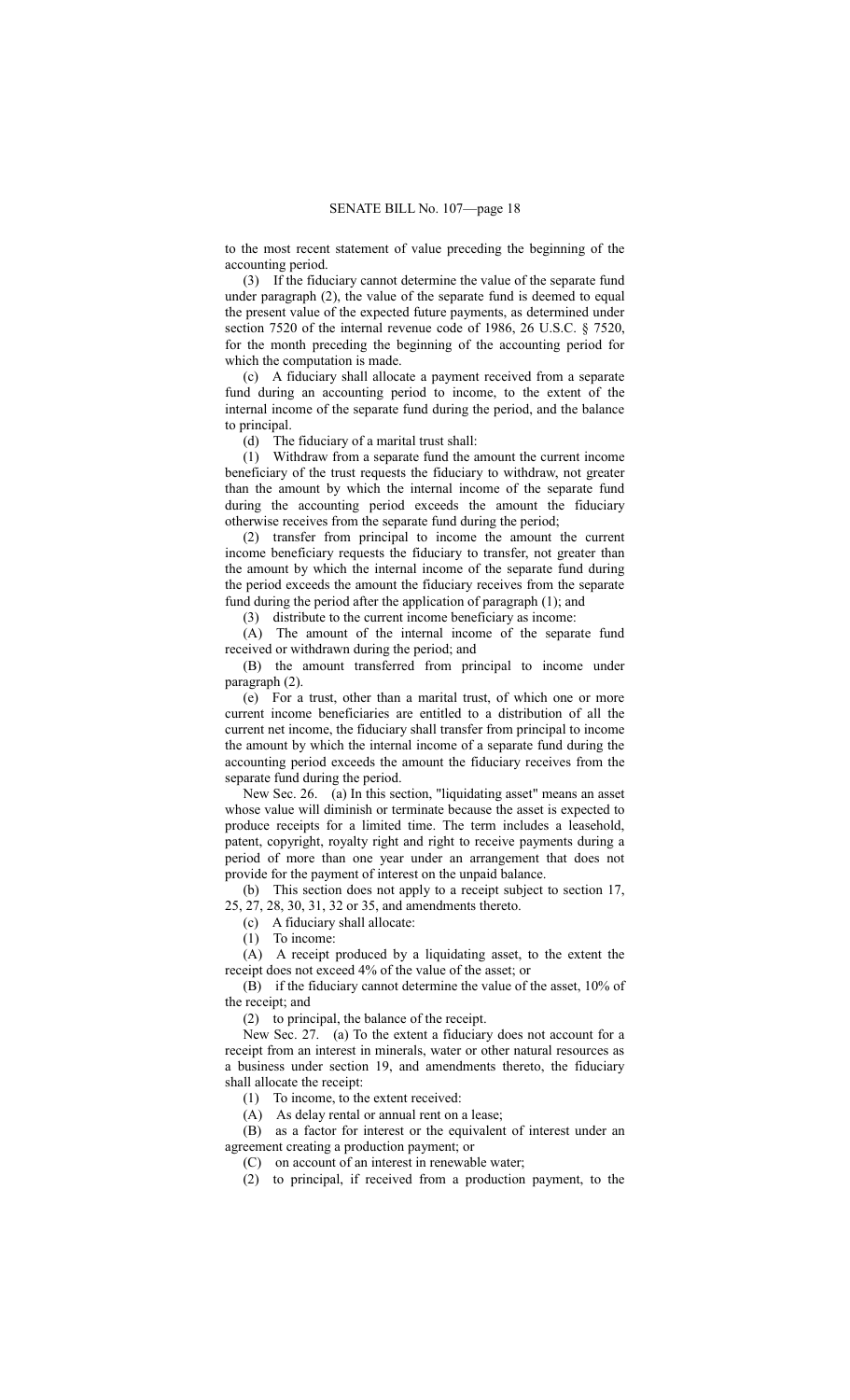to the most recent statement of value preceding the beginning of the accounting period.

(3) If the fiduciary cannot determine the value of the separate fund under paragraph (2), the value of the separate fund is deemed to equal the present value of the expected future payments, as determined under section 7520 of the internal revenue code of 1986, 26 U.S.C. § 7520, for the month preceding the beginning of the accounting period for which the computation is made.

(c) A fiduciary shall allocate a payment received from a separate fund during an accounting period to income, to the extent of the internal income of the separate fund during the period, and the balance to principal.

(d) The fiduciary of a marital trust shall:

(1) Withdraw from a separate fund the amount the current income beneficiary of the trust requests the fiduciary to withdraw, not greater than the amount by which the internal income of the separate fund during the accounting period exceeds the amount the fiduciary otherwise receives from the separate fund during the period;

(2) transfer from principal to income the amount the current income beneficiary requests the fiduciary to transfer, not greater than the amount by which the internal income of the separate fund during the period exceeds the amount the fiduciary receives from the separate fund during the period after the application of paragraph (1); and

(3) distribute to the current income beneficiary as income:

(A) The amount of the internal income of the separate fund received or withdrawn during the period; and

(B) the amount transferred from principal to income under paragraph (2).

(e) For a trust, other than a marital trust, of which one or more current income beneficiaries are entitled to a distribution of all the current net income, the fiduciary shall transfer from principal to income the amount by which the internal income of a separate fund during the accounting period exceeds the amount the fiduciary receives from the separate fund during the period.

New Sec. 26. (a) In this section, "liquidating asset" means an asset whose value will diminish or terminate because the asset is expected to produce receipts for a limited time. The term includes a leasehold, patent, copyright, royalty right and right to receive payments during a period of more than one year under an arrangement that does not provide for the payment of interest on the unpaid balance.

(b) This section does not apply to a receipt subject to section 17, 25, 27, 28, 30, 31, 32 or 35, and amendments thereto.

(c) A fiduciary shall allocate:

(1) To income:

(A) A receipt produced by a liquidating asset, to the extent the receipt does not exceed 4% of the value of the asset; or

(B) if the fiduciary cannot determine the value of the asset, 10% of the receipt; and

(2) to principal, the balance of the receipt.

New Sec. 27. (a) To the extent a fiduciary does not account for a receipt from an interest in minerals, water or other natural resources as a business under section 19, and amendments thereto, the fiduciary shall allocate the receipt:

(1) To income, to the extent received:

(A) As delay rental or annual rent on a lease;

(B) as a factor for interest or the equivalent of interest under an agreement creating a production payment; or

(C) on account of an interest in renewable water;

(2) to principal, if received from a production payment, to the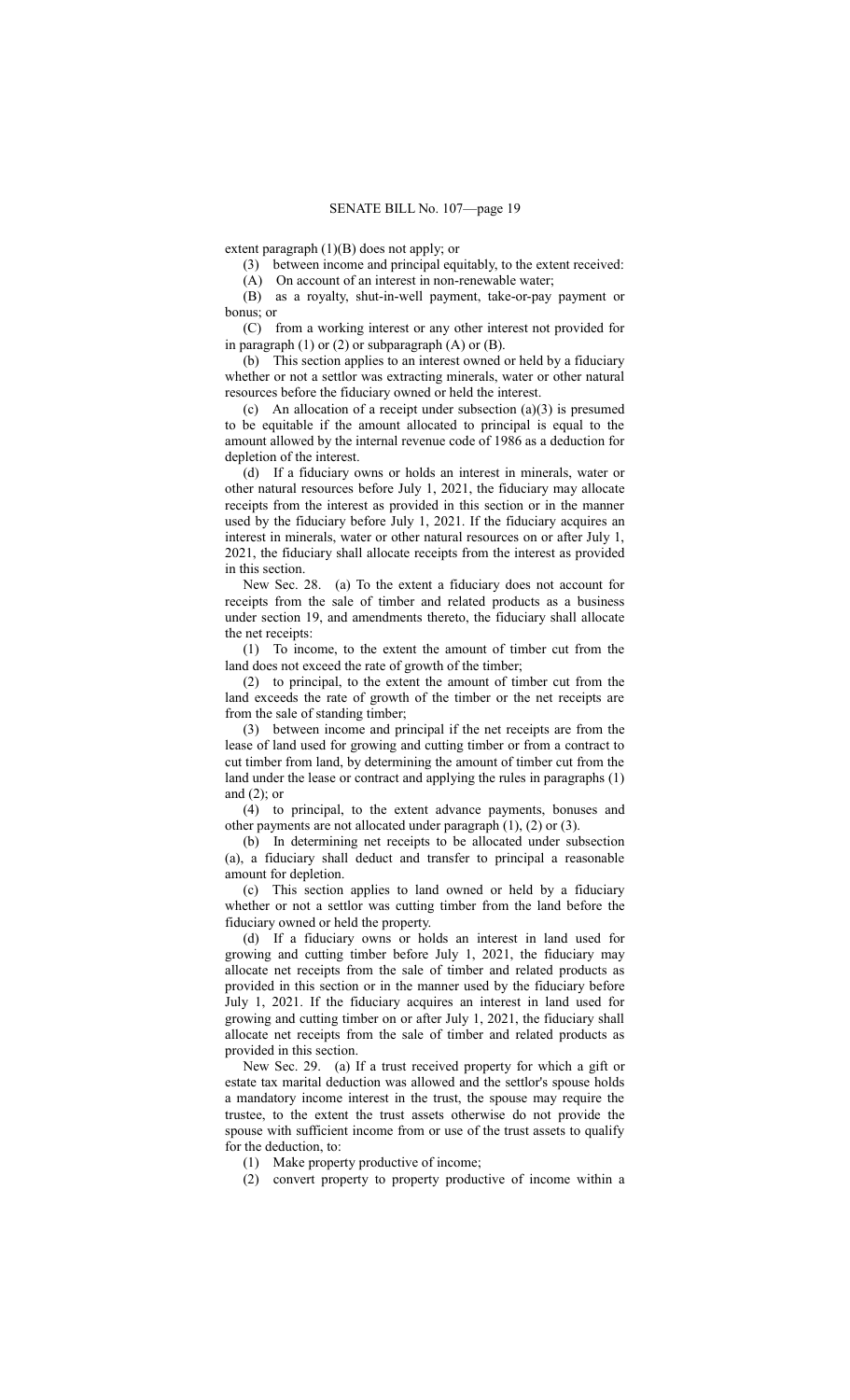extent paragraph (1)(B) does not apply; or

(3) between income and principal equitably, to the extent received:

(A) On account of an interest in non-renewable water;

(B) as a royalty, shut-in-well payment, take-or-pay payment or bonus; or

(C) from a working interest or any other interest not provided for in paragraph (1) or (2) or subparagraph (A) or (B).

(b) This section applies to an interest owned or held by a fiduciary whether or not a settlor was extracting minerals, water or other natural resources before the fiduciary owned or held the interest.

(c) An allocation of a receipt under subsection (a)(3) is presumed to be equitable if the amount allocated to principal is equal to the amount allowed by the internal revenue code of 1986 as a deduction for depletion of the interest.

(d) If a fiduciary owns or holds an interest in minerals, water or other natural resources before July 1, 2021, the fiduciary may allocate receipts from the interest as provided in this section or in the manner used by the fiduciary before July 1, 2021. If the fiduciary acquires an interest in minerals, water or other natural resources on or after July 1, 2021, the fiduciary shall allocate receipts from the interest as provided in this section.

New Sec. 28. (a) To the extent a fiduciary does not account for receipts from the sale of timber and related products as a business under section 19, and amendments thereto, the fiduciary shall allocate the net receipts:

(1) To income, to the extent the amount of timber cut from the land does not exceed the rate of growth of the timber;

(2) to principal, to the extent the amount of timber cut from the land exceeds the rate of growth of the timber or the net receipts are from the sale of standing timber;

(3) between income and principal if the net receipts are from the lease of land used for growing and cutting timber or from a contract to cut timber from land, by determining the amount of timber cut from the land under the lease or contract and applying the rules in paragraphs (1) and  $(2)$ ; or

(4) to principal, to the extent advance payments, bonuses and other payments are not allocated under paragraph (1), (2) or (3).

(b) In determining net receipts to be allocated under subsection (a), a fiduciary shall deduct and transfer to principal a reasonable amount for depletion.

(c) This section applies to land owned or held by a fiduciary whether or not a settlor was cutting timber from the land before the fiduciary owned or held the property.

(d) If a fiduciary owns or holds an interest in land used for growing and cutting timber before July 1, 2021, the fiduciary may allocate net receipts from the sale of timber and related products as provided in this section or in the manner used by the fiduciary before July 1, 2021. If the fiduciary acquires an interest in land used for growing and cutting timber on or after July 1, 2021, the fiduciary shall allocate net receipts from the sale of timber and related products as provided in this section.

New Sec. 29. (a) If a trust received property for which a gift or estate tax marital deduction was allowed and the settlor's spouse holds a mandatory income interest in the trust, the spouse may require the trustee, to the extent the trust assets otherwise do not provide the spouse with sufficient income from or use of the trust assets to qualify for the deduction, to:

(1) Make property productive of income;

(2) convert property to property productive of income within a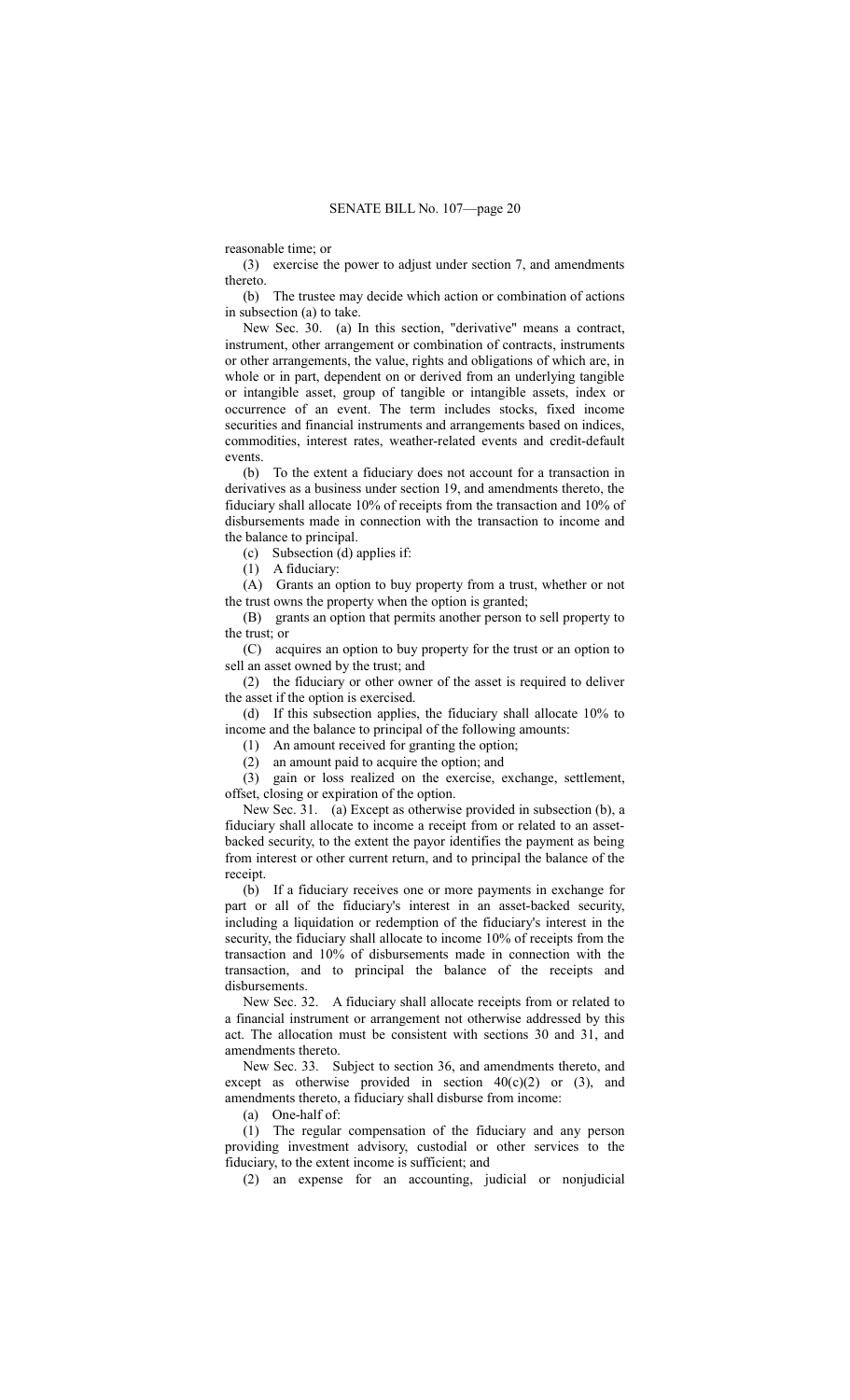reasonable time; or

(3) exercise the power to adjust under section 7, and amendments thereto.

(b) The trustee may decide which action or combination of actions in subsection (a) to take.

New Sec. 30. (a) In this section, "derivative" means a contract, instrument, other arrangement or combination of contracts, instruments or other arrangements, the value, rights and obligations of which are, in whole or in part, dependent on or derived from an underlying tangible or intangible asset, group of tangible or intangible assets, index or occurrence of an event. The term includes stocks, fixed income securities and financial instruments and arrangements based on indices, commodities, interest rates, weather-related events and credit-default events.

(b) To the extent a fiduciary does not account for a transaction in derivatives as a business under section 19, and amendments thereto, the fiduciary shall allocate 10% of receipts from the transaction and 10% of disbursements made in connection with the transaction to income and the balance to principal.

(c) Subsection (d) applies if:

(1) A fiduciary:

(A) Grants an option to buy property from a trust, whether or not the trust owns the property when the option is granted;

(B) grants an option that permits another person to sell property to the trust; or

(C) acquires an option to buy property for the trust or an option to sell an asset owned by the trust; and

(2) the fiduciary or other owner of the asset is required to deliver the asset if the option is exercised.

(d) If this subsection applies, the fiduciary shall allocate 10% to income and the balance to principal of the following amounts:

(1) An amount received for granting the option;

(2) an amount paid to acquire the option; and

(3) gain or loss realized on the exercise, exchange, settlement, offset, closing or expiration of the option.

New Sec. 31. (a) Except as otherwise provided in subsection (b), a fiduciary shall allocate to income a receipt from or related to an assetbacked security, to the extent the payor identifies the payment as being from interest or other current return, and to principal the balance of the receipt.

(b) If a fiduciary receives one or more payments in exchange for part or all of the fiduciary's interest in an asset-backed security, including a liquidation or redemption of the fiduciary's interest in the security, the fiduciary shall allocate to income 10% of receipts from the transaction and 10% of disbursements made in connection with the transaction, and to principal the balance of the receipts and disbursements.

New Sec. 32. A fiduciary shall allocate receipts from or related to a financial instrument or arrangement not otherwise addressed by this act. The allocation must be consistent with sections 30 and 31, and amendments thereto.

New Sec. 33. Subject to section 36, and amendments thereto, and except as otherwise provided in section  $40(c)(2)$  or (3), and amendments thereto, a fiduciary shall disburse from income:

(a) One-half of:

(1) The regular compensation of the fiduciary and any person providing investment advisory, custodial or other services to the fiduciary, to the extent income is sufficient; and

(2) an expense for an accounting, judicial or nonjudicial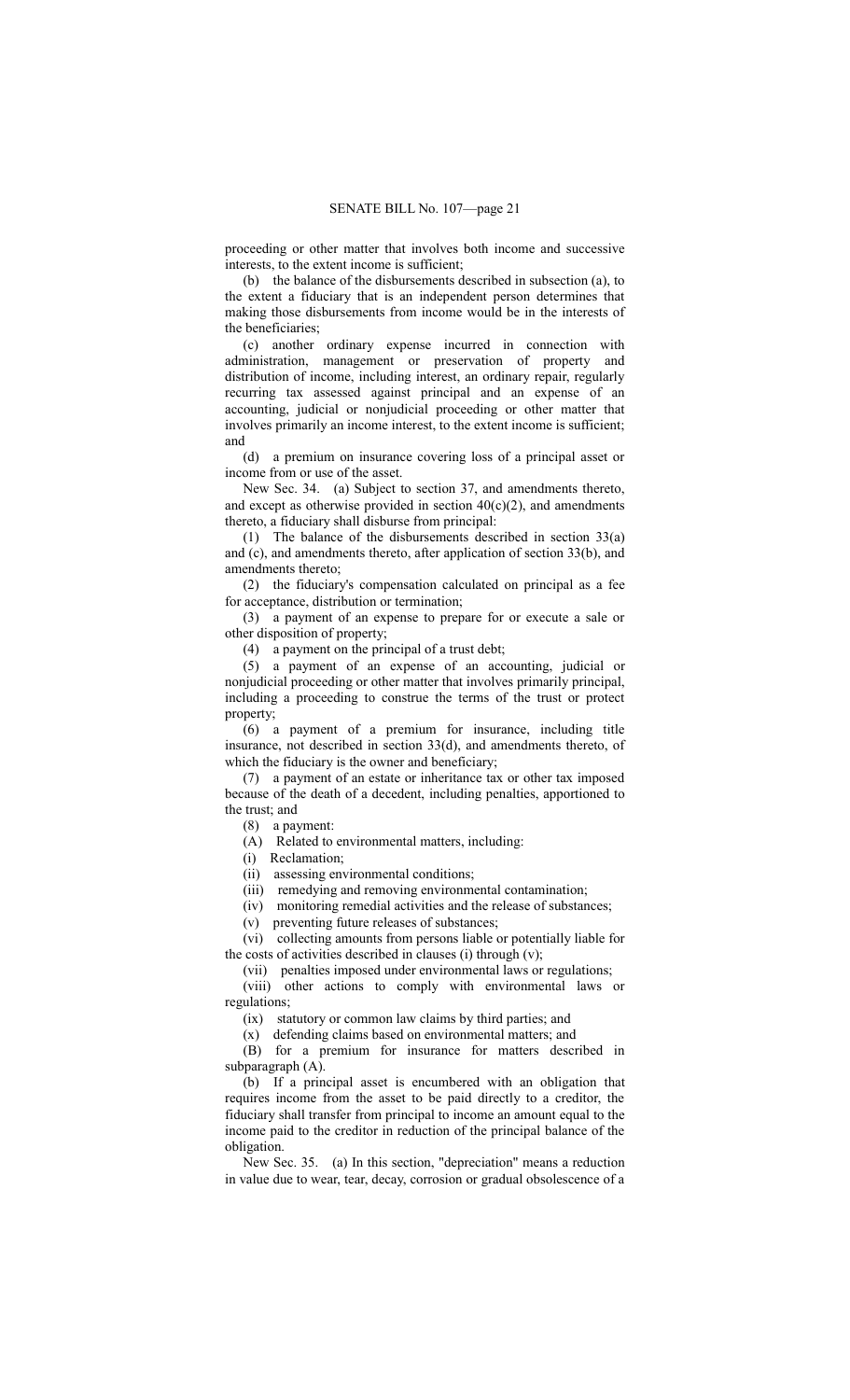proceeding or other matter that involves both income and successive interests, to the extent income is sufficient;

(b) the balance of the disbursements described in subsection (a), to the extent a fiduciary that is an independent person determines that making those disbursements from income would be in the interests of the beneficiaries;

(c) another ordinary expense incurred in connection with administration, management or preservation of property and distribution of income, including interest, an ordinary repair, regularly recurring tax assessed against principal and an expense of an accounting, judicial or nonjudicial proceeding or other matter that involves primarily an income interest, to the extent income is sufficient; and

(d) a premium on insurance covering loss of a principal asset or income from or use of the asset.

New Sec. 34. (a) Subject to section 37, and amendments thereto, and except as otherwise provided in section  $40(c)(2)$ , and amendments thereto, a fiduciary shall disburse from principal:

(1) The balance of the disbursements described in section 33(a) and (c), and amendments thereto, after application of section 33(b), and amendments thereto;

(2) the fiduciary's compensation calculated on principal as a fee for acceptance, distribution or termination;

(3) a payment of an expense to prepare for or execute a sale or other disposition of property;

(4) a payment on the principal of a trust debt;

(5) a payment of an expense of an accounting, judicial or nonjudicial proceeding or other matter that involves primarily principal, including a proceeding to construe the terms of the trust or protect property;

(6) a payment of a premium for insurance, including title insurance, not described in section 33(d), and amendments thereto, of which the fiduciary is the owner and beneficiary;

(7) a payment of an estate or inheritance tax or other tax imposed because of the death of a decedent, including penalties, apportioned to the trust; and

(8) a payment:

(A) Related to environmental matters, including:

(i) Reclamation;

(ii) assessing environmental conditions;

(iii) remedying and removing environmental contamination;

(iv) monitoring remedial activities and the release of substances;

(v) preventing future releases of substances;

(vi) collecting amounts from persons liable or potentially liable for

the costs of activities described in clauses (i) through (v);

(vii) penalties imposed under environmental laws or regulations; (viii) other actions to comply with environmental laws or

regulations;

(ix) statutory or common law claims by third parties; and

(x) defending claims based on environmental matters; and

(B) for a premium for insurance for matters described in subparagraph (A).

(b) If a principal asset is encumbered with an obligation that requires income from the asset to be paid directly to a creditor, the fiduciary shall transfer from principal to income an amount equal to the income paid to the creditor in reduction of the principal balance of the obligation.

New Sec. 35. (a) In this section, "depreciation" means a reduction in value due to wear, tear, decay, corrosion or gradual obsolescence of a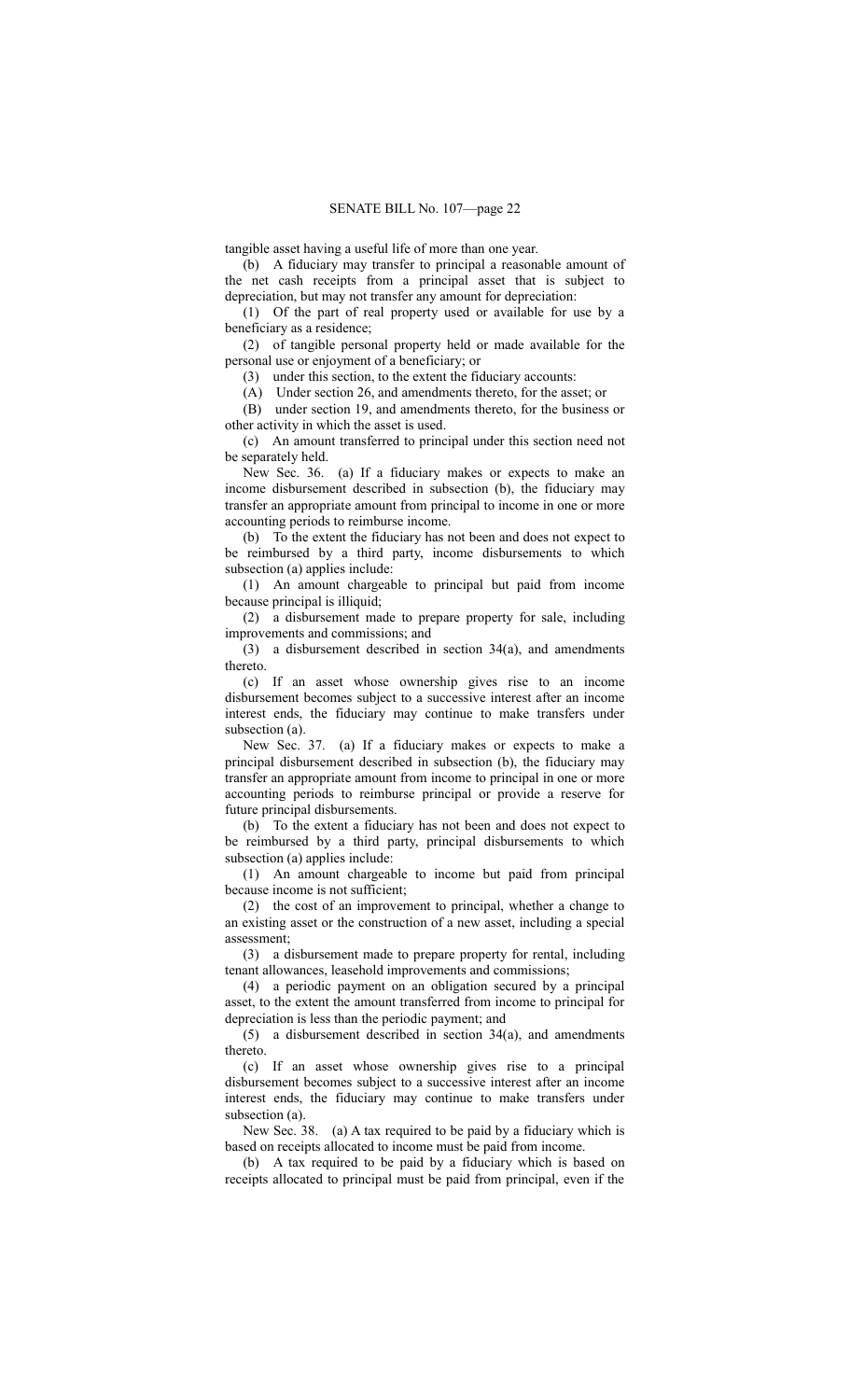tangible asset having a useful life of more than one year.

(b) A fiduciary may transfer to principal a reasonable amount of the net cash receipts from a principal asset that is subject to depreciation, but may not transfer any amount for depreciation:

(1) Of the part of real property used or available for use by a beneficiary as a residence;

(2) of tangible personal property held or made available for the personal use or enjoyment of a beneficiary; or

(3) under this section, to the extent the fiduciary accounts:

(A) Under section 26, and amendments thereto, for the asset; or

(B) under section 19, and amendments thereto, for the business or other activity in which the asset is used.

(c) An amount transferred to principal under this section need not be separately held.

New Sec. 36. (a) If a fiduciary makes or expects to make an income disbursement described in subsection (b), the fiduciary may transfer an appropriate amount from principal to income in one or more accounting periods to reimburse income.

(b) To the extent the fiduciary has not been and does not expect to be reimbursed by a third party, income disbursements to which subsection (a) applies include:

(1) An amount chargeable to principal but paid from income because principal is illiquid;

(2) a disbursement made to prepare property for sale, including improvements and commissions; and

(3) a disbursement described in section 34(a), and amendments thereto.

(c) If an asset whose ownership gives rise to an income disbursement becomes subject to a successive interest after an income interest ends, the fiduciary may continue to make transfers under subsection (a).

New Sec. 37. (a) If a fiduciary makes or expects to make a principal disbursement described in subsection (b), the fiduciary may transfer an appropriate amount from income to principal in one or more accounting periods to reimburse principal or provide a reserve for future principal disbursements.

(b) To the extent a fiduciary has not been and does not expect to be reimbursed by a third party, principal disbursements to which subsection (a) applies include:

(1) An amount chargeable to income but paid from principal because income is not sufficient;

(2) the cost of an improvement to principal, whether a change to an existing asset or the construction of a new asset, including a special assessment;

(3) a disbursement made to prepare property for rental, including tenant allowances, leasehold improvements and commissions;

(4) a periodic payment on an obligation secured by a principal asset, to the extent the amount transferred from income to principal for depreciation is less than the periodic payment; and

(5) a disbursement described in section 34(a), and amendments thereto.

(c) If an asset whose ownership gives rise to a principal disbursement becomes subject to a successive interest after an income interest ends, the fiduciary may continue to make transfers under subsection (a).

New Sec. 38. (a) A tax required to be paid by a fiduciary which is based on receipts allocated to income must be paid from income.

(b) A tax required to be paid by a fiduciary which is based on receipts allocated to principal must be paid from principal, even if the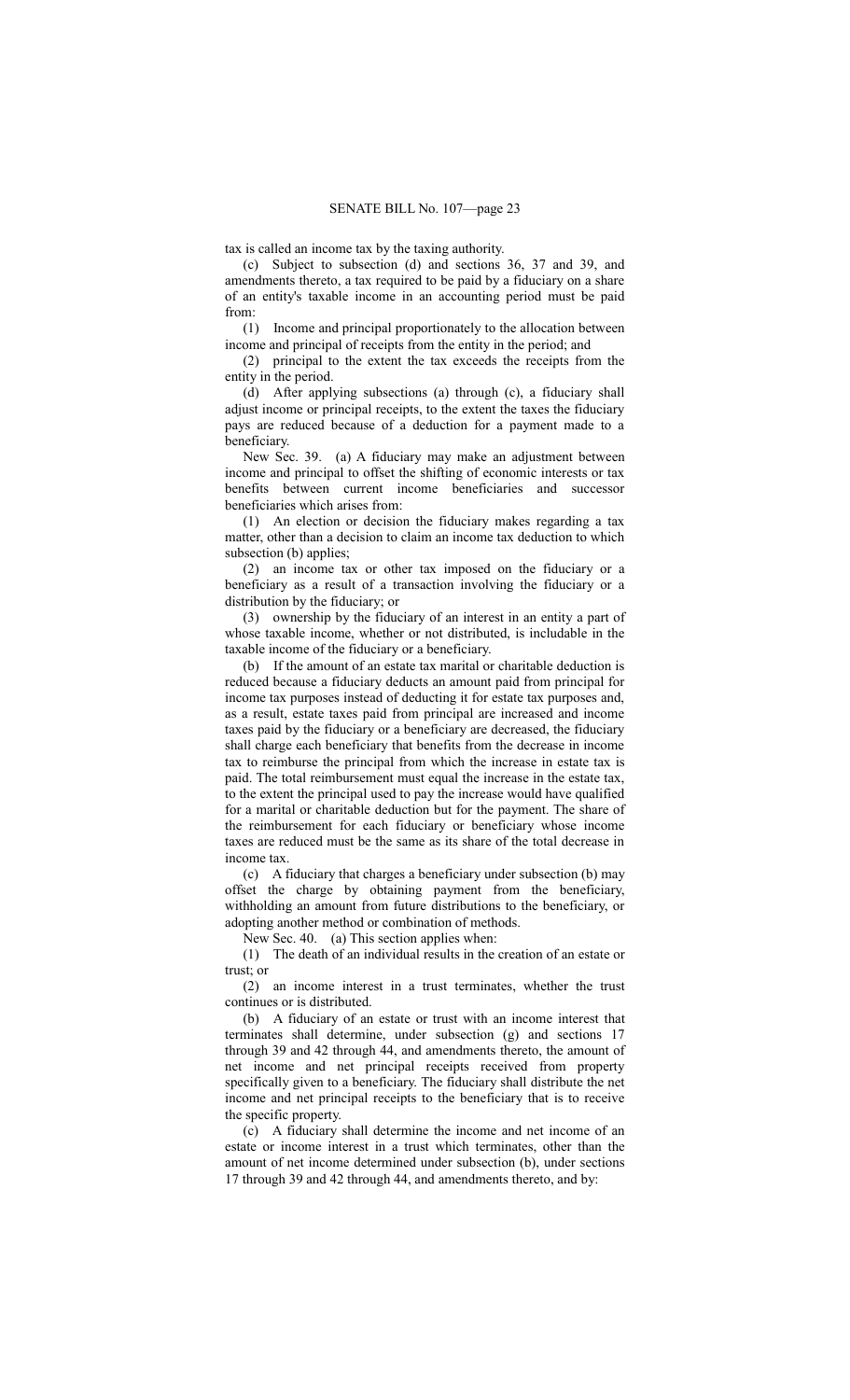tax is called an income tax by the taxing authority.

(c) Subject to subsection (d) and sections 36, 37 and 39, and amendments thereto, a tax required to be paid by a fiduciary on a share of an entity's taxable income in an accounting period must be paid from:

(1) Income and principal proportionately to the allocation between income and principal of receipts from the entity in the period; and

(2) principal to the extent the tax exceeds the receipts from the entity in the period.

(d) After applying subsections (a) through (c), a fiduciary shall adjust income or principal receipts, to the extent the taxes the fiduciary pays are reduced because of a deduction for a payment made to a beneficiary.

New Sec. 39. (a) A fiduciary may make an adjustment between income and principal to offset the shifting of economic interests or tax benefits between current income beneficiaries and successor beneficiaries which arises from:

(1) An election or decision the fiduciary makes regarding a tax matter, other than a decision to claim an income tax deduction to which subsection (b) applies;

(2) an income tax or other tax imposed on the fiduciary or a beneficiary as a result of a transaction involving the fiduciary or a distribution by the fiduciary; or

(3) ownership by the fiduciary of an interest in an entity a part of whose taxable income, whether or not distributed, is includable in the taxable income of the fiduciary or a beneficiary.

(b) If the amount of an estate tax marital or charitable deduction is reduced because a fiduciary deducts an amount paid from principal for income tax purposes instead of deducting it for estate tax purposes and, as a result, estate taxes paid from principal are increased and income taxes paid by the fiduciary or a beneficiary are decreased, the fiduciary shall charge each beneficiary that benefits from the decrease in income tax to reimburse the principal from which the increase in estate tax is paid. The total reimbursement must equal the increase in the estate tax, to the extent the principal used to pay the increase would have qualified for a marital or charitable deduction but for the payment. The share of the reimbursement for each fiduciary or beneficiary whose income taxes are reduced must be the same as its share of the total decrease in income tax.

(c) A fiduciary that charges a beneficiary under subsection (b) may offset the charge by obtaining payment from the beneficiary, withholding an amount from future distributions to the beneficiary, or adopting another method or combination of methods.

New Sec. 40. (a) This section applies when:

(1) The death of an individual results in the creation of an estate or trust; or

(2) an income interest in a trust terminates, whether the trust continues or is distributed.

(b) A fiduciary of an estate or trust with an income interest that terminates shall determine, under subsection (g) and sections 17 through 39 and 42 through 44, and amendments thereto, the amount of net income and net principal receipts received from property specifically given to a beneficiary. The fiduciary shall distribute the net income and net principal receipts to the beneficiary that is to receive the specific property.

(c) A fiduciary shall determine the income and net income of an estate or income interest in a trust which terminates, other than the amount of net income determined under subsection (b), under sections 17 through 39 and 42 through 44, and amendments thereto, and by: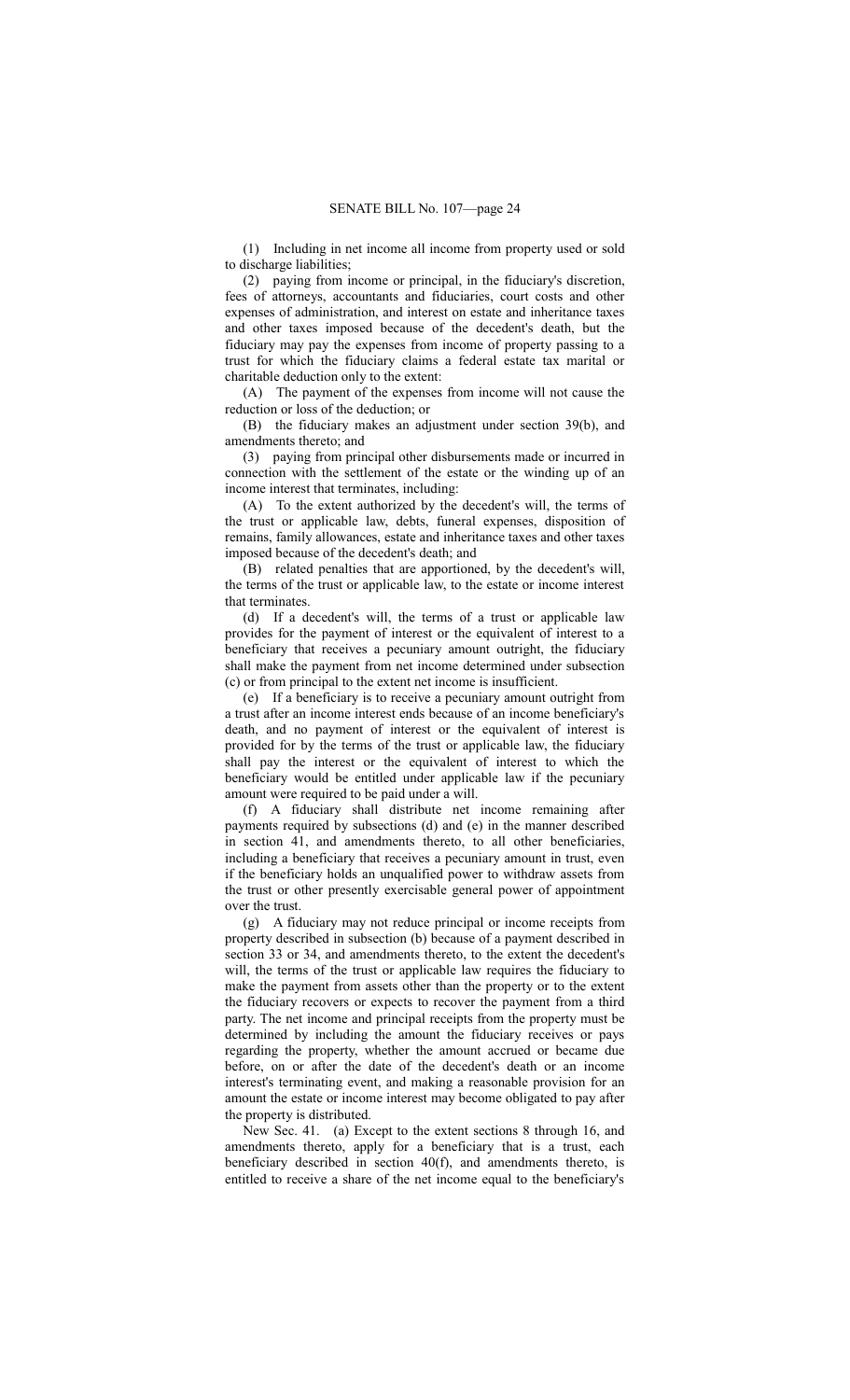(1) Including in net income all income from property used or sold to discharge liabilities;

(2) paying from income or principal, in the fiduciary's discretion, fees of attorneys, accountants and fiduciaries, court costs and other expenses of administration, and interest on estate and inheritance taxes and other taxes imposed because of the decedent's death, but the fiduciary may pay the expenses from income of property passing to a trust for which the fiduciary claims a federal estate tax marital or charitable deduction only to the extent:

(A) The payment of the expenses from income will not cause the reduction or loss of the deduction; or

(B) the fiduciary makes an adjustment under section 39(b), and amendments thereto; and

(3) paying from principal other disbursements made or incurred in connection with the settlement of the estate or the winding up of an income interest that terminates, including:

(A) To the extent authorized by the decedent's will, the terms of the trust or applicable law, debts, funeral expenses, disposition of remains, family allowances, estate and inheritance taxes and other taxes imposed because of the decedent's death; and

(B) related penalties that are apportioned, by the decedent's will, the terms of the trust or applicable law, to the estate or income interest that terminates.

(d) If a decedent's will, the terms of a trust or applicable law provides for the payment of interest or the equivalent of interest to a beneficiary that receives a pecuniary amount outright, the fiduciary shall make the payment from net income determined under subsection (c) or from principal to the extent net income is insufficient.

(e) If a beneficiary is to receive a pecuniary amount outright from a trust after an income interest ends because of an income beneficiary's death, and no payment of interest or the equivalent of interest is provided for by the terms of the trust or applicable law, the fiduciary shall pay the interest or the equivalent of interest to which the beneficiary would be entitled under applicable law if the pecuniary amount were required to be paid under a will.

(f) A fiduciary shall distribute net income remaining after payments required by subsections (d) and (e) in the manner described in section 41, and amendments thereto, to all other beneficiaries, including a beneficiary that receives a pecuniary amount in trust, even if the beneficiary holds an unqualified power to withdraw assets from the trust or other presently exercisable general power of appointment over the trust.

(g) A fiduciary may not reduce principal or income receipts from property described in subsection (b) because of a payment described in section 33 or 34, and amendments thereto, to the extent the decedent's will, the terms of the trust or applicable law requires the fiduciary to make the payment from assets other than the property or to the extent the fiduciary recovers or expects to recover the payment from a third party. The net income and principal receipts from the property must be determined by including the amount the fiduciary receives or pays regarding the property, whether the amount accrued or became due before, on or after the date of the decedent's death or an income interest's terminating event, and making a reasonable provision for an amount the estate or income interest may become obligated to pay after the property is distributed.

New Sec. 41. (a) Except to the extent sections 8 through 16, and amendments thereto, apply for a beneficiary that is a trust, each beneficiary described in section 40(f), and amendments thereto, is entitled to receive a share of the net income equal to the beneficiary's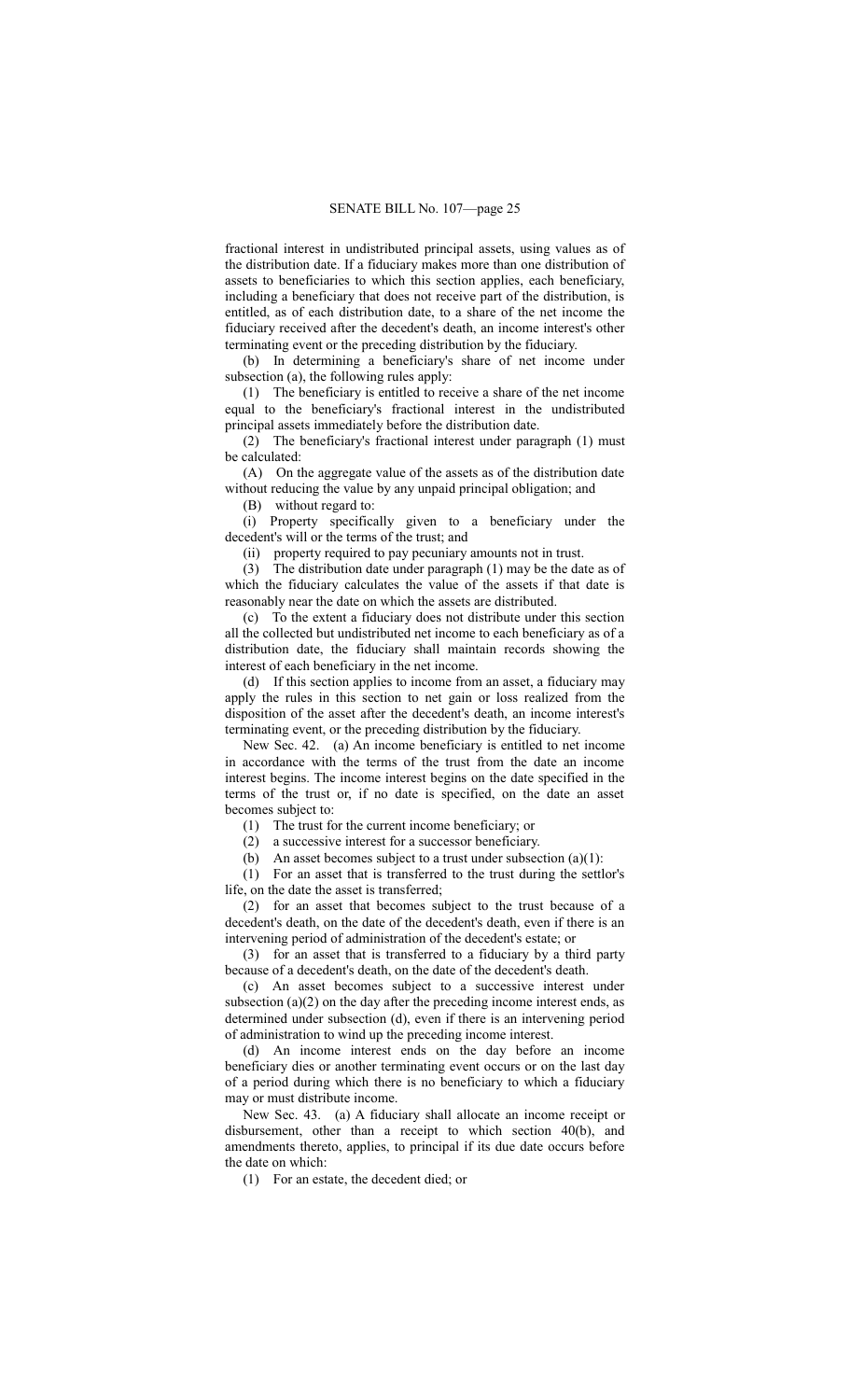fractional interest in undistributed principal assets, using values as of the distribution date. If a fiduciary makes more than one distribution of assets to beneficiaries to which this section applies, each beneficiary, including a beneficiary that does not receive part of the distribution, is entitled, as of each distribution date, to a share of the net income the fiduciary received after the decedent's death, an income interest's other terminating event or the preceding distribution by the fiduciary.

(b) In determining a beneficiary's share of net income under subsection (a), the following rules apply:

(1) The beneficiary is entitled to receive a share of the net income equal to the beneficiary's fractional interest in the undistributed principal assets immediately before the distribution date.

(2) The beneficiary's fractional interest under paragraph (1) must be calculated:

(A) On the aggregate value of the assets as of the distribution date without reducing the value by any unpaid principal obligation; and

(B) without regard to:

(i) Property specifically given to a beneficiary under the decedent's will or the terms of the trust; and

(ii) property required to pay pecuniary amounts not in trust.

(3) The distribution date under paragraph (1) may be the date as of which the fiduciary calculates the value of the assets if that date is reasonably near the date on which the assets are distributed.

(c) To the extent a fiduciary does not distribute under this section all the collected but undistributed net income to each beneficiary as of a distribution date, the fiduciary shall maintain records showing the interest of each beneficiary in the net income.

(d) If this section applies to income from an asset, a fiduciary may apply the rules in this section to net gain or loss realized from the disposition of the asset after the decedent's death, an income interest's terminating event, or the preceding distribution by the fiduciary.

New Sec. 42. (a) An income beneficiary is entitled to net income in accordance with the terms of the trust from the date an income interest begins. The income interest begins on the date specified in the terms of the trust or, if no date is specified, on the date an asset becomes subject to:

(1) The trust for the current income beneficiary; or

(2) a successive interest for a successor beneficiary.

(b) An asset becomes subject to a trust under subsection  $(a)(1)$ :

(1) For an asset that is transferred to the trust during the settlor's life, on the date the asset is transferred;

(2) for an asset that becomes subject to the trust because of a decedent's death, on the date of the decedent's death, even if there is an intervening period of administration of the decedent's estate; or

(3) for an asset that is transferred to a fiduciary by a third party because of a decedent's death, on the date of the decedent's death.

(c) An asset becomes subject to a successive interest under subsection (a)(2) on the day after the preceding income interest ends, as determined under subsection (d), even if there is an intervening period of administration to wind up the preceding income interest.

(d) An income interest ends on the day before an income beneficiary dies or another terminating event occurs or on the last day of a period during which there is no beneficiary to which a fiduciary may or must distribute income.

New Sec. 43. (a) A fiduciary shall allocate an income receipt or disbursement, other than a receipt to which section 40(b), and amendments thereto, applies, to principal if its due date occurs before the date on which:

(1) For an estate, the decedent died; or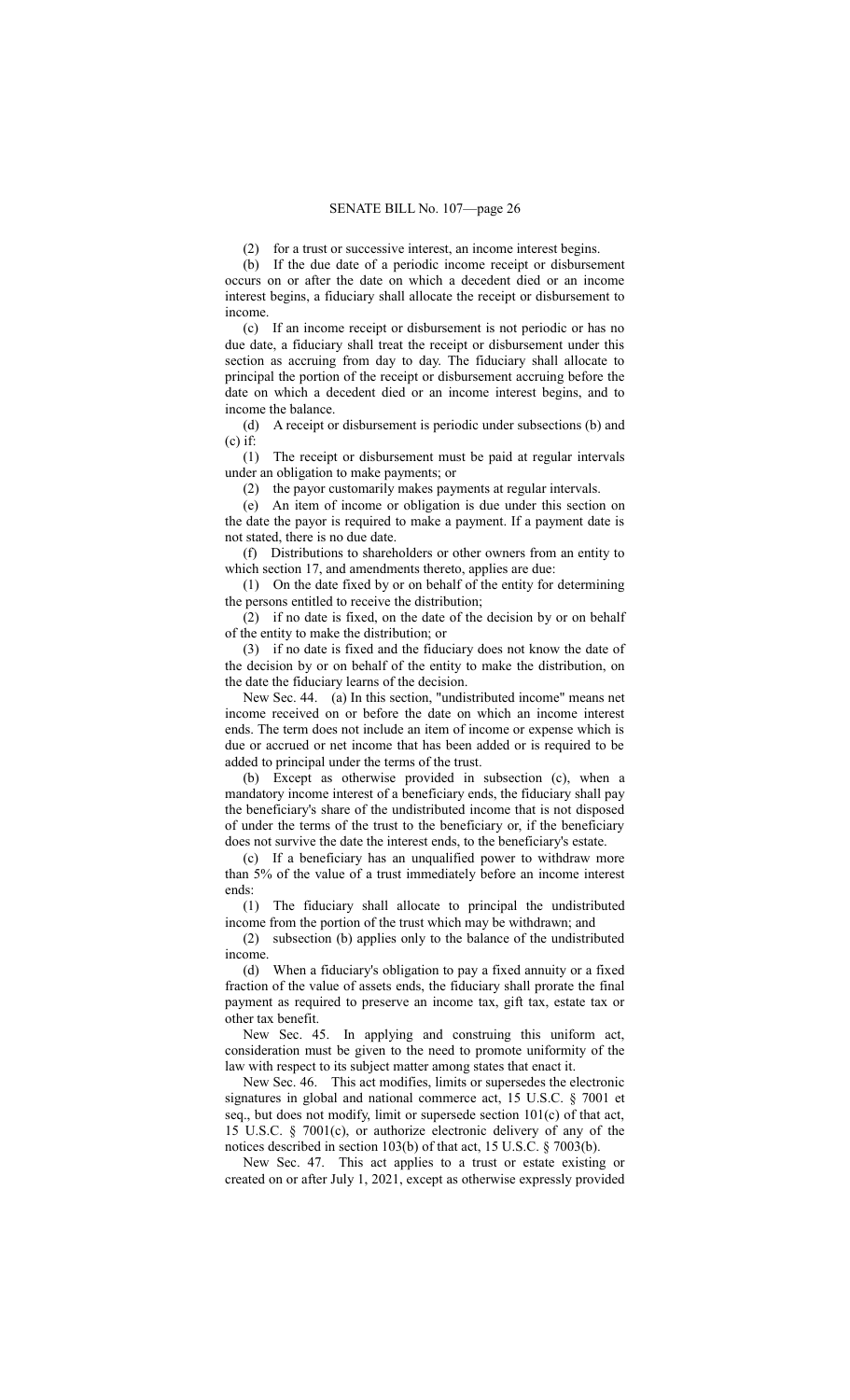(2) for a trust or successive interest, an income interest begins.

(b) If the due date of a periodic income receipt or disbursement occurs on or after the date on which a decedent died or an income interest begins, a fiduciary shall allocate the receipt or disbursement to income.

(c) If an income receipt or disbursement is not periodic or has no due date, a fiduciary shall treat the receipt or disbursement under this section as accruing from day to day. The fiduciary shall allocate to principal the portion of the receipt or disbursement accruing before the date on which a decedent died or an income interest begins, and to income the balance.

(d) A receipt or disbursement is periodic under subsections (b) and  $(c)$  if:

(1) The receipt or disbursement must be paid at regular intervals under an obligation to make payments; or

(2) the payor customarily makes payments at regular intervals.

(e) An item of income or obligation is due under this section on the date the payor is required to make a payment. If a payment date is not stated, there is no due date.

(f) Distributions to shareholders or other owners from an entity to which section 17, and amendments thereto, applies are due:

(1) On the date fixed by or on behalf of the entity for determining the persons entitled to receive the distribution;

(2) if no date is fixed, on the date of the decision by or on behalf of the entity to make the distribution; or

(3) if no date is fixed and the fiduciary does not know the date of the decision by or on behalf of the entity to make the distribution, on the date the fiduciary learns of the decision.

New Sec. 44. (a) In this section, "undistributed income" means net income received on or before the date on which an income interest ends. The term does not include an item of income or expense which is due or accrued or net income that has been added or is required to be added to principal under the terms of the trust.

(b) Except as otherwise provided in subsection (c), when a mandatory income interest of a beneficiary ends, the fiduciary shall pay the beneficiary's share of the undistributed income that is not disposed of under the terms of the trust to the beneficiary or, if the beneficiary does not survive the date the interest ends, to the beneficiary's estate.

(c) If a beneficiary has an unqualified power to withdraw more than 5% of the value of a trust immediately before an income interest ends:

(1) The fiduciary shall allocate to principal the undistributed income from the portion of the trust which may be withdrawn; and

(2) subsection (b) applies only to the balance of the undistributed income.

(d) When a fiduciary's obligation to pay a fixed annuity or a fixed fraction of the value of assets ends, the fiduciary shall prorate the final payment as required to preserve an income tax, gift tax, estate tax or other tax benefit.

New Sec. 45. In applying and construing this uniform act, consideration must be given to the need to promote uniformity of the law with respect to its subject matter among states that enact it.

New Sec. 46. This act modifies, limits or supersedes the electronic signatures in global and national commerce act, 15 U.S.C. § 7001 et seq., but does not modify, limit or supersede section 101(c) of that act, 15 U.S.C. § 7001(c), or authorize electronic delivery of any of the notices described in section 103(b) of that act, 15 U.S.C. § 7003(b).

New Sec. 47. This act applies to a trust or estate existing or created on or after July 1, 2021, except as otherwise expressly provided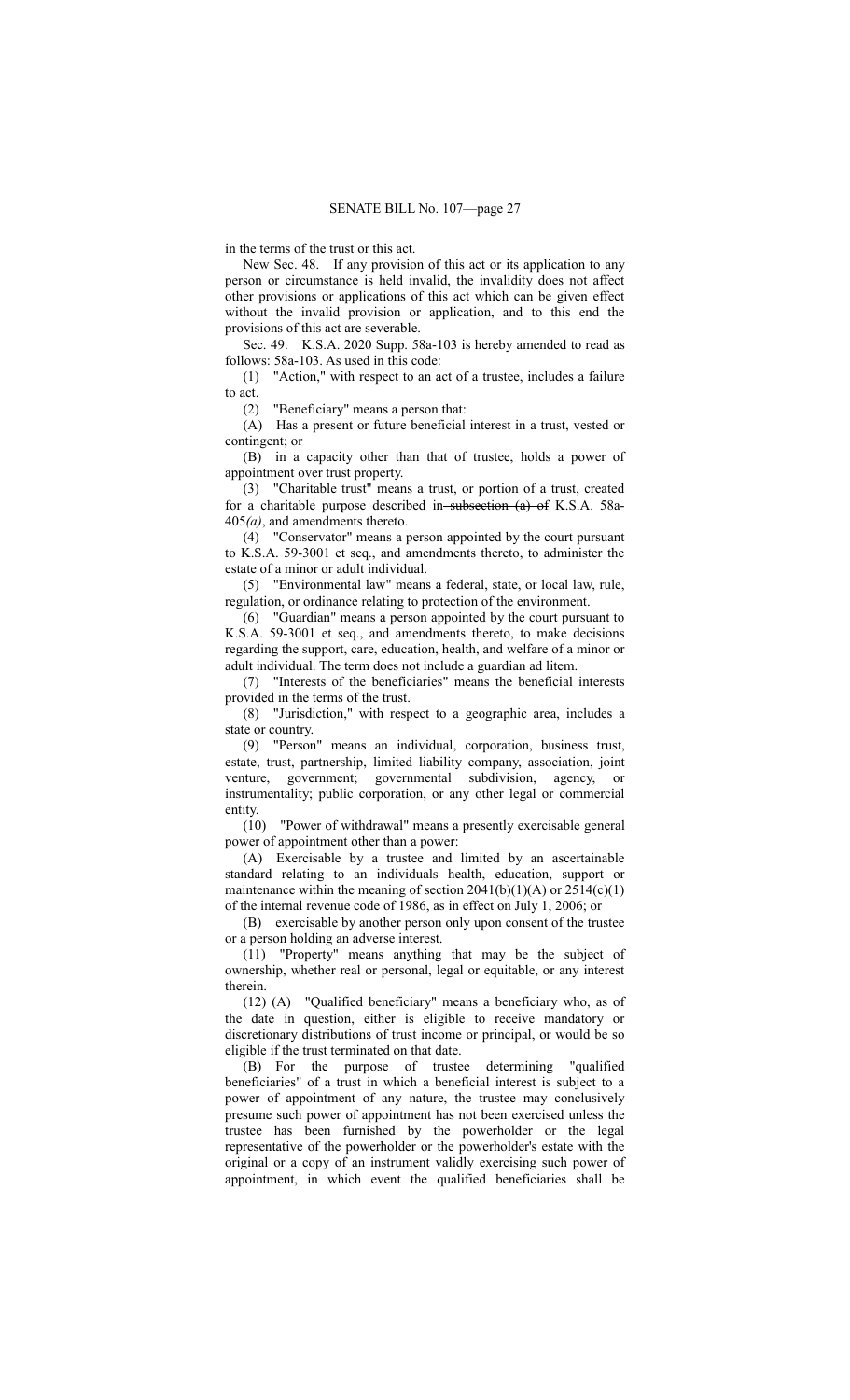in the terms of the trust or this act.

New Sec. 48. If any provision of this act or its application to any person or circumstance is held invalid, the invalidity does not affect other provisions or applications of this act which can be given effect without the invalid provision or application, and to this end the provisions of this act are severable.

Sec. 49. K.S.A. 2020 Supp. 58a-103 is hereby amended to read as follows: 58a-103. As used in this code:

(1) "Action," with respect to an act of a trustee, includes a failure to act.

(2) "Beneficiary" means a person that:

(A) Has a present or future beneficial interest in a trust, vested or contingent; or

(B) in a capacity other than that of trustee, holds a power of appointment over trust property.

(3) "Charitable trust" means a trust, or portion of a trust, created for a charitable purpose described in subsection (a) of K.S.A. 58a-405*(a)*, and amendments thereto.

(4) "Conservator" means a person appointed by the court pursuant to K.S.A. 59-3001 et seq., and amendments thereto, to administer the estate of a minor or adult individual.

(5) "Environmental law" means a federal, state, or local law, rule, regulation, or ordinance relating to protection of the environment.

(6) "Guardian" means a person appointed by the court pursuant to K.S.A. 59-3001 et seq., and amendments thereto, to make decisions regarding the support, care, education, health, and welfare of a minor or adult individual. The term does not include a guardian ad litem.

(7) "Interests of the beneficiaries" means the beneficial interests provided in the terms of the trust.

(8) "Jurisdiction," with respect to a geographic area, includes a state or country.

(9) "Person" means an individual, corporation, business trust, estate, trust, partnership, limited liability company, association, joint venture, government; governmental subdivision, agency, or instrumentality; public corporation, or any other legal or commercial entity.

(10) "Power of withdrawal" means a presently exercisable general power of appointment other than a power:

(A) Exercisable by a trustee and limited by an ascertainable standard relating to an individuals health, education, support or maintenance within the meaning of section  $2041(b)(1)(A)$  or  $2514(c)(1)$ of the internal revenue code of 1986, as in effect on July 1, 2006; or

(B) exercisable by another person only upon consent of the trustee or a person holding an adverse interest.

(11) "Property" means anything that may be the subject of ownership, whether real or personal, legal or equitable, or any interest therein.

(12) (A) "Qualified beneficiary" means a beneficiary who, as of the date in question, either is eligible to receive mandatory or discretionary distributions of trust income or principal, or would be so eligible if the trust terminated on that date.

(B) For the purpose of trustee determining "qualified beneficiaries" of a trust in which a beneficial interest is subject to a power of appointment of any nature, the trustee may conclusively presume such power of appointment has not been exercised unless the trustee has been furnished by the powerholder or the legal representative of the powerholder or the powerholder's estate with the original or a copy of an instrument validly exercising such power of appointment, in which event the qualified beneficiaries shall be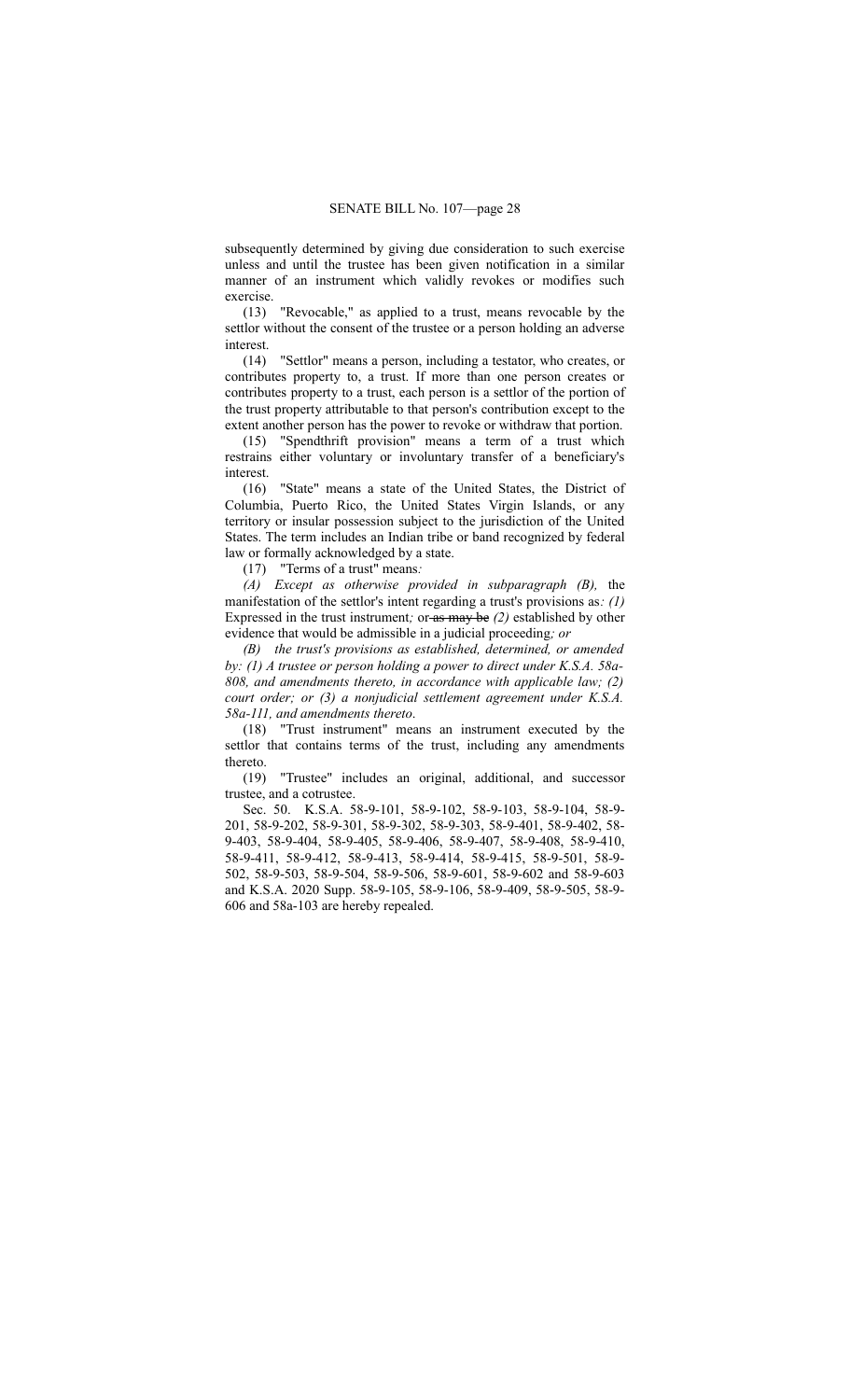subsequently determined by giving due consideration to such exercise unless and until the trustee has been given notification in a similar manner of an instrument which validly revokes or modifies such exercise.

(13) "Revocable," as applied to a trust, means revocable by the settlor without the consent of the trustee or a person holding an adverse interest.

(14) "Settlor" means a person, including a testator, who creates, or contributes property to, a trust. If more than one person creates or contributes property to a trust, each person is a settlor of the portion of the trust property attributable to that person's contribution except to the extent another person has the power to revoke or withdraw that portion.

(15) "Spendthrift provision" means a term of a trust which restrains either voluntary or involuntary transfer of a beneficiary's interest.

(16) "State" means a state of the United States, the District of Columbia, Puerto Rico, the United States Virgin Islands, or any territory or insular possession subject to the jurisdiction of the United States. The term includes an Indian tribe or band recognized by federal law or formally acknowledged by a state.

(17) "Terms of a trust" means*:*

*(A) Except as otherwise provided in subparagraph (B),* the manifestation of the settlor's intent regarding a trust's provisions as*: (1)* Expressed in the trust instrument*;* or as may be *(2)* established by other evidence that would be admissible in a judicial proceeding*; or*

*(B) the trust's provisions as established, determined, or amended by: (1) A trustee or person holding a power to direct under K.S.A. 58a-808, and amendments thereto, in accordance with applicable law; (2) court order; or (3) a nonjudicial settlement agreement under K.S.A. 58a-111, and amendments thereto*.

(18) "Trust instrument" means an instrument executed by the settlor that contains terms of the trust, including any amendments thereto.

(19) "Trustee" includes an original, additional, and successor trustee, and a cotrustee.

Sec. 50. K.S.A. 58-9-101, 58-9-102, 58-9-103, 58-9-104, 58-9- 201, 58-9-202, 58-9-301, 58-9-302, 58-9-303, 58-9-401, 58-9-402, 58- 9-403, 58-9-404, 58-9-405, 58-9-406, 58-9-407, 58-9-408, 58-9-410, 58-9-411, 58-9-412, 58-9-413, 58-9-414, 58-9-415, 58-9-501, 58-9- 502, 58-9-503, 58-9-504, 58-9-506, 58-9-601, 58-9-602 and 58-9-603 and K.S.A. 2020 Supp. 58-9-105, 58-9-106, 58-9-409, 58-9-505, 58-9- 606 and 58a-103 are hereby repealed.